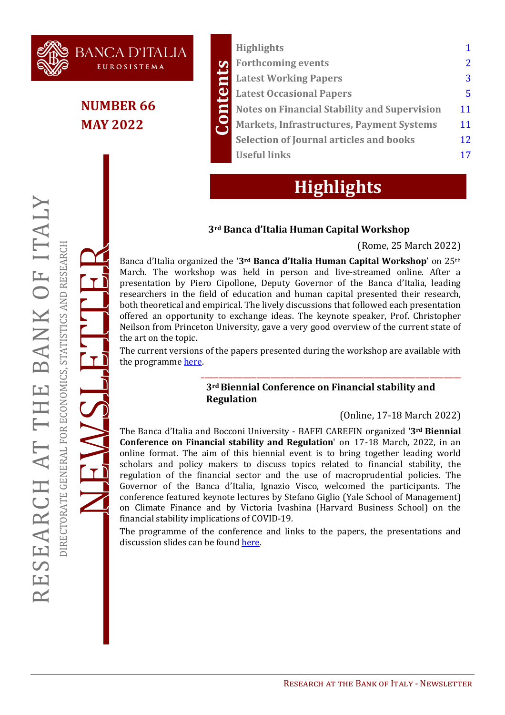

## **NUMBER 66 MAY 2022**

**BANCA D'ITALIA** EUROSISTEMA

|              | <b>Highlights</b>                                   |    |
|--------------|-----------------------------------------------------|----|
|              | <b>Forthcoming events</b>                           |    |
| ain          | <b>Latest Working Papers</b>                        |    |
| $\mathbf{e}$ | <b>Latest Occasional Papers</b>                     | 5  |
|              | <b>Notes on Financial Stability and Supervision</b> | 11 |
| $\mathbf{S}$ | <b>Markets, Infrastructures, Payment Systems</b>    | 11 |
|              | <b>Selection of Journal articles and books</b>      | 12 |
|              | <b>Useful links</b>                                 | 17 |
|              |                                                     |    |

## **Highlights**

#### **3rd Banca d'Italia Human Capital Workshop**

#### (Rome, 25 March 2022)

Banca d'Italia organized the '**3rd Banca d'Italia Human Capital Workshop**' on 25th March. The workshop was held in person and live-streamed online. After a presentation by Piero Cipollone, Deputy Governor of the Banca d'Italia, leading researchers in the field of education and human capital presented their research, both theoretical and empirical. The lively discussions that followed each presentation offered an opportunity to exchange ideas. The keynote speaker, Prof. Christopher Neilson from Princeton University, gave a very good overview of the current state of the art on the topic.

The current versions of the papers presented during the workshop are available with the programme [here](https://www.bancaditalia.it/pubblicazioni/altri-atti-convegni/2022-human-capital/index.html).

#### **3rd Biennial Conference on Financial stability and Regulation**

\_\_\_\_\_\_\_\_\_\_\_\_\_\_\_\_\_\_\_\_\_\_\_\_\_\_\_\_\_\_\_\_\_\_\_\_\_\_\_\_\_\_\_\_\_\_\_\_\_\_\_\_\_\_\_\_\_\_\_\_\_\_\_\_\_\_\_\_\_\_\_\_\_\_\_

#### (Online, 17-18 March 2022)

The Banca d'Italia and Bocconi University - BAFFI CAREFIN organized '**3rd Biennial Conference on Financial stability and Regulation**' on 17-18 March, 2022, in an online format. The aim of this biennial event is to bring together leading world scholars and policy makers to discuss topics related to financial stability, the regulation of the financial sector and the use of macroprudential policies. The Governor of the Banca d'Italia, Ignazio Visco, welcomed the participants. The conference featured keynote lectures by Stefano Giglio (Yale School of Management) on Climate Finance and by Victoria Ivashina (Harvard Business School) on the financial stability implications of COVID-19.

The programme of the conference and links to the papers, the presentations and discussion slides can be found [here.](https://www.bancaditalia.it/pubblicazioni/altri-atti-convegni/2022-financial-stability/index.html?com.dotmarketing.htmlpage.language=1)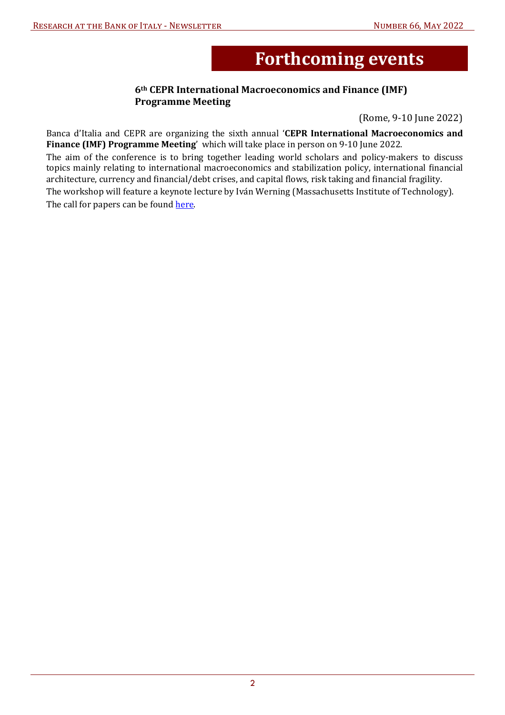# **Forthcoming events**

#### **6th CEPR International Macroeconomics and Finance (IMF) Programme Meeting**

(Rome, 9-10 June 2022)

<span id="page-1-0"></span>Banca d'Italia and CEPR are organizing the sixth annual '**CEPR International Macroeconomics and Finance (IMF) Programme Meeting**' which will take place in person on 9-10 June 2022. The aim of the conference is to bring together leading world scholars and policy-makers to discuss topics mainly relating to international macroeconomics and stabilization policy, international financial architecture, currency and financial/debt crises, and capital flows, risk taking and financial fragility. The workshop will feature a keynote lecture by Iván Werning (Massachusetts Institute of Technology). The call for papers can be found here.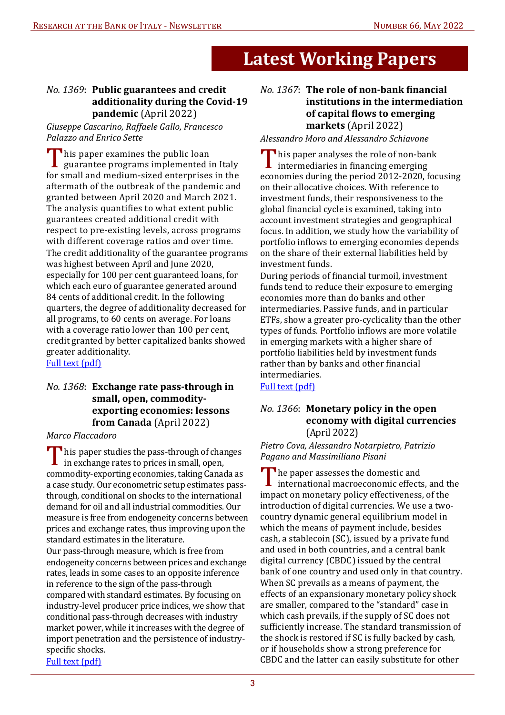# **Latest Working Papers**

#### <span id="page-2-0"></span>*No. 1369*: **Public guarantees and credit additionality during the Covid-19 pandemic** (April 2022)

*Giuseppe Cascarino, Raffaele Gallo, Francesco*  **Palazzo and Enrico Sette** 

This paper examines the public loan<br>guarantee programs implemented in Italy for small and medium-sized enterprises in the aftermath of the outbreak of the pandemic and granted between April 2020 and March 2021. The analysis quantifies to what extent public guarantees created additional credit with respect to pre-existing levels, across programs with different coverage ratios and over time. The credit additionality of the guarantee programs was highest between April and June 2020, especially for 100 per cent guaranteed loans, for which each euro of guarantee generated around 84 cents of additional credit. In the following quarters, the degree of additionality decreased for all programs, to 60 cents on average. For loans with a coverage ratio lower than 100 per cent, credit granted by better capitalized banks showed greater additionality.

[Full text \(pdf\)](https://www.bancaditalia.it/pubblicazioni/temi-discussione/2022/2022-1369/en_tema_1369.pdf?language_id=1?pk_campaign=Newsletter-66)

#### *No. 1368*: **Exchange rate pass-through in small, open, commodityexporting economies: lessons from Canada** (April 2022)

*Marco Flaccadoro* 

This paper studies the pass-through of changes<br>in exchange rates to prices in small, open, commodity-exporting economies, taking Canada as a case study. Our econometric setup estimates passthrough, conditional on shocks to the international demand for oil and all industrial commodities. Our measure is free from endogeneity concerns between prices and exchange rates, thus improving upon the standard estimates in the literature.

Our pass-through measure, which is free from endogeneity concerns between prices and exchange rates, leads in some cases to an opposite inference in reference to the sign of the pass-through compared with standard estimates. By focusing on industry-level producer price indices, we show that conditional pass-through decreases with industry market power, while it increases with the degree of import penetration and the persistence of industryspecific shocks.

[Full text \(pdf\)](https://www.bancaditalia.it/pubblicazioni/temi-discussione/2022/2022-1368/en_tema_1368.pdf?language_id=1?pk_campaign=Newsletter-66)

#### *No. 1367*: **The role of non-bank 7inancial institutions in the intermediation of capital 7lows to emerging markets** (April 2022)

Alessandro Moro and Alessandro Schiavone

T his paper analyses the role of non-bank intermediaries in financing emerging economies during the period 2012-2020, focusing on their allocative choices. With reference to investment funds, their responsiveness to the global financial cycle is examined, taking into account investment strategies and geographical focus. In addition, we study how the variability of portfolio inflows to emerging economies depends on the share of their external liabilities held by investment funds.

During periods of financial turmoil, investment funds tend to reduce their exposure to emerging economies more than do banks and other intermediaries. Passive funds, and in particular ETFs, show a greater pro-cyclicality than the other types of funds. Portfolio inflows are more volatile in emerging markets with a higher share of portfolio liabilities held by investment funds rather than by banks and other financial intermediaries.

[Full text \(pdf\)](https://www.bancaditalia.it/pubblicazioni/temi-discussione/2022/2022-1367/en_tema_1367.pdf?language_id=1?pk_campaign=Newsletter-66)

#### *No. 1366*: **Monetary policy in the open economy with digital currencies**  (April 2022)

*Pietro Cova, Alessandro Notarpietro, Patrizio*  **Pagano and Massimiliano Pisani** 

The paper assesses the domestic and international macroeconomic effects, and the impact on monetary policy effectiveness, of the introduction of digital currencies. We use a twocountry dynamic general equilibrium model in which the means of payment include, besides cash, a stablecoin (SC), issued by a private fund and used in both countries, and a central bank digital currency (CBDC) issued by the central bank of one country and used only in that country. When SC prevails as a means of payment, the effects of an expansionary monetary policy shock are smaller, compared to the "standard" case in which cash prevails, if the supply of SC does not sufficiently increase. The standard transmission of the shock is restored if SC is fully backed by cash, or if households show a strong preference for CBDC and the latter can easily substitute for other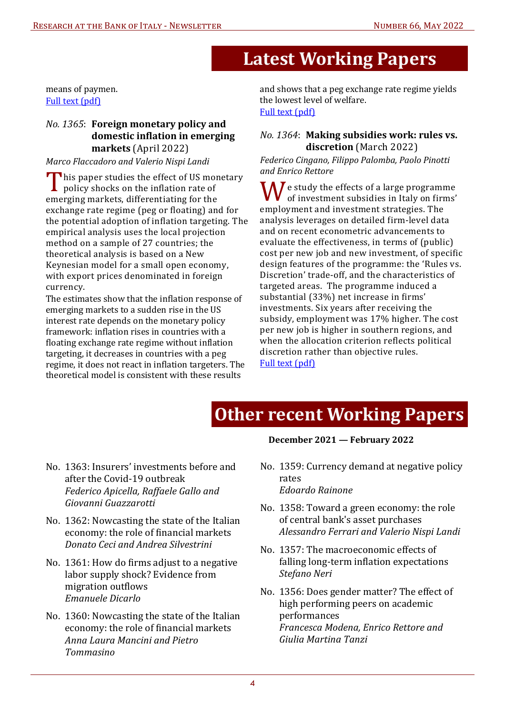## **Latest Working Papers**

means of paymen. [Full text \(pdf\)](https://www.bancaditalia.it/pubblicazioni/temi-discussione/2022/2022-1366/en_tema_1366.pdf?language_id=1?pk_campaign=Newsletter-66)

#### *No. 1365*: **Foreign monetary policy and domestic in7lation in emerging markets** (April 2022)

*Marco Flaccadoro and Valerio Nispi Landi* 

This paper studies the effect of US monetary policy shocks on the inflation rate of emerging markets, differentiating for the exchange rate regime (peg or floating) and for the potential adoption of inflation targeting. The empirical analysis uses the local projection method on a sample of 27 countries; the theoretical analysis is based on a New Keynesian model for a small open economy, with export prices denominated in foreign currency.

The estimates show that the inflation response of emerging markets to a sudden rise in the US interest rate depends on the monetary policy framework: inflation rises in countries with a floating exchange rate regime without inflation targeting, it decreases in countries with a peg regime, it does not react in inflation targeters. The theoretical model is consistent with these results

and shows that a peg exchange rate regime yields the lowest level of welfare. [Full text \(pdf\)](https://www.bancaditalia.it/pubblicazioni/temi-discussione/2022/2022-1365/en_tema_1365.pdf?language_id=1?pk_campaign=Newsletter-66)

#### *No. 1364*: **Making subsidies work: rules vs. discretion** (March 2022)

#### *Federico Cingano, Filippo Palomba, Paolo Pinotti and Enrico Rettore*

 $\bigcap I$  e study the effects of a large programme of investment subsidies in Italy on firms' employment and investment strategies. The analysis leverages on detailed firm-level data and on recent econometric advancements to evaluate the effectiveness, in terms of (public) cost per new job and new investment, of specific design features of the programme: the 'Rules vs. Discretion' trade-off, and the characteristics of targeted areas. The programme induced a substantial (33%) net increase in firms' investments. Six years after receiving the subsidy, employment was 17% higher. The cost per new job is higher in southern regions, and when the allocation criterion reflects political discretion rather than objective rules. [Full text \(pdf\)](https://www.bancaditalia.it/pubblicazioni/temi-discussione/2022/2022-1364/en_tema_1364.pdf?language_id=1?pk_campaign=Newsletter-66)

## **Other recent Working Papers**

- [No. 1363: Insurers' investments before and](https://www.bancaditalia.it/pubblicazioni/temi-discussione/2022/2022-1363/en_tema_1363.pdf?language_id=1?pk_campaign=Newsletter-66)  after the Covid-19 outbreak *Federico Apicella, Raffaele Gallo and*  Giovanni Guazzarotti
- [No. 1362: Nowcasting the state of the Italian](https://www.bancaditalia.it/pubblicazioni/temi-discussione/2022/2022-1362/en_tema_1362.pdf?language_id=1?pk_campaign=Newsletter-66)  economy: the role of financial markets *Donato Ceci and Andrea Silvestrini*
- No. 1361: How do firms adjust to a negative labor supply shock? Evidence from migration outflows *Emanuele Dicarlo*
- [No. 1360: Nowcasting the state of the Italian](https://www.bancaditalia.it/pubblicazioni/temi-discussione/2022/2022-1360/en_tema_1360.pdf?language_id=1?pk_campaign=Newsletter-66)  economy: the role of financial markets *Anna Laura Mancini and Pietro Tommasino*

#### **December 2021 — February 2022**

- [No. 1359: Currency demand at negative policy](https://www.bancaditalia.it/pubblicazioni/temi-discussione/2022/2022-1359/en_tema_1359.pdf?language_id=1?pk_campaign=Newsletter-66)  rates *Edoardo Rainone*
- [No. 1358: Toward a green economy: the role](https://www.bancaditalia.it/pubblicazioni/temi-discussione/2022/2022-1358/en_tema_1358.pdf?language_id=1?pk_campaign=Newsletter-66)  of central bank's asset purchases *Alessandro Ferrari and Valerio Nispi Landi*
- [No. 1357: The macroeconomic effects of](https://www.bancaditalia.it/pubblicazioni/temi-discussione/2021/2021-1357/en_tema_1357.pdf?language_id=1?pk_campaign=Newsletter-66)  falling long-term inflation expectations *Stefano Neri*
- [No. 1356: Does gender matter? The effect of](https://www.bancaditalia.it/pubblicazioni/temi-discussione/2021/2021-1356/en_tema_1356.pdf?language_id=1?pk_campaign=Newsletter-66)  high performing peers on academic performances *Francesca Modena, Enrico Rettore and Giulia Martina Tanzi*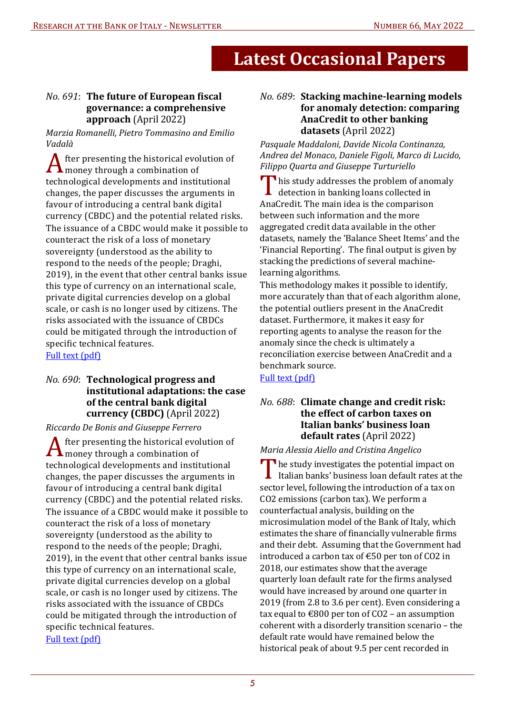#### <span id="page-4-0"></span>*No.* 691: The future of European fiscal **governance: a comprehensive approach** (April 2022)

*Marzia Romanelli, Pietro Tommasino and Emilio Vadalà* 

**△** fter presenting the historical evolution of  $\boldsymbol{\Lambda}$  money through a combination of technological developments and institutional changes, the paper discusses the arguments in favour of introducing a central bank digital currency (CBDC) and the potential related risks. The issuance of a CBDC would make it possible to counteract the risk of a loss of monetary sovereignty (understood as the ability to respond to the needs of the people; Draghi, 2019), in the event that other central banks issue this type of currency on an international scale, private digital currencies develop on a global scale, or cash is no longer used by citizens. The risks associated with the issuance of CBDCs could be mitigated through the introduction of specific technical features.

[Full text \(pdf\)](https://www.bancaditalia.it/pubblicazioni/qef/2022-0691/QEF_691_22.pdf?language_id=1?pk_campaign=Newsletter-66)

#### *No. 690*: **Technological progress and institutional adaptations: the case of the central bank digital currency (CBDC)** (April 2022)

*Riccardo De Bonis and Giuseppe Ferrero* 

A fter presenting the historical evolution of money through a combination of technological developments and institutional changes, the paper discusses the arguments in favour of introducing a central bank digital currency (CBDC) and the potential related risks. The issuance of a CBDC would make it possible to counteract the risk of a loss of monetary sovereignty (understood as the ability to respond to the needs of the people; Draghi, 2019), in the event that other central banks issue this type of currency on an international scale, private digital currencies develop on a global scale, or cash is no longer used by citizens. The risks associated with the issuance of CBDCs could be mitigated through the introduction of specific technical features. [Full text \(pdf\)](https://www.bancaditalia.it/pubblicazioni/qef/2022-0690/QEF_690_22.pdf?language_id=1?pk_campaign=Newsletter-66)

#### *No. 689*: **Stacking machine-learning models for anomaly detection: comparing AnaCredit to other banking datasets** (April 2022)

*Pasquale Maddaloni, Davide Nicola Continanza, Andrea del Monaco, Daniele Figoli, Marco di Lucido, Filippo Quarta and Giuseppe Turturiello* 

This study addresses the problem of anomaly detection in banking loans collected in AnaCredit. The main idea is the comparison between such information and the more aggregated credit data available in the other datasets, namely the 'Balance Sheet Items' and the 'Financial Reporting'. The final output is given by stacking the predictions of several machinelearning algorithms.

This methodology makes it possible to identify, more accurately than that of each algorithm alone, the potential outliers present in the AnaCredit dataset. Furthermore, it makes it easy for reporting agents to analyse the reason for the anomaly since the check is ultimately a reconciliation exercise between AnaCredit and a benchmark source.

[Full text \(pdf\)](https://www.bancaditalia.it/pubblicazioni/qef/2022-0689/QEF_689_22.pdf?language_id=1?pk_campaign=Newsletter-66)

#### *No. 688*: **Climate change and credit risk: the effect of carbon taxes on Italian banks' business loan default rates** (April 2022)

#### *Maria Alessia Aiello and Cristina Angelico*

The study investigates the potential impact on Italian banks' business loan default rates at the sector level, following the introduction of a tax on CO2 emissions (carbon tax). We perform a counterfactual analysis, building on the microsimulation model of the Bank of Italy, which estimates the share of financially vulnerable firms and their debt. Assuming that the Government had introduced a carbon tax of €50 per ton of CO2 in 2018, our estimates show that the average quarterly loan default rate for the firms analysed would have increased by around one quarter in 2019 (from 2.8 to 3.6 per cent). Even considering a tax equal to  $\text{\textsterling}800$  per ton of CO2 – an assumption coherent with a disorderly transition scenario – the default rate would have remained below the historical peak of about 9.5 per cent recorded in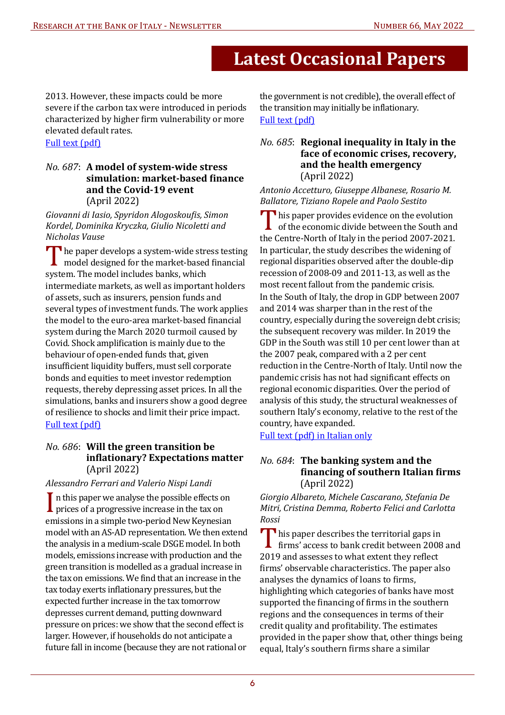2013. However, these impacts could be more severe if the carbon tax were introduced in periods characterized by higher firm vulnerability or more elevated default rates.

#### [Full text \(pdf\)](https://www.bancaditalia.it/pubblicazioni/qef/2022-0688/QEF_688_22.pdf?language_id=1?pk_campaign=Newsletter-66)

#### *No. 687*: **A model of system-wide stress simulation: market-based 7inance and the Covid-19 event**  (April 2022)

Giovanni di Iasio, Spyridon Alogoskoufis, Simon *Kordel, Dominika Kryczka, Giulio Nicoletti and*  **Nicholas Vause** 

 $\blacksquare$  he paper develops a system-wide stress testing model designed for the market-based financial system. The model includes banks, which intermediate markets, as well as important holders of assets, such as insurers, pension funds and several types of investment funds. The work applies the model to the euro-area market-based financial system during the March 2020 turmoil caused by Covid. Shock amplification is mainly due to the behaviour of open-ended funds that, given insufficient liquidity buffers, must sell corporate bonds and equities to meet investor redemption requests, thereby depressing asset prices. In all the simulations, banks and insurers show a good degree of resilience to shocks and limit their price impact. [Full text \(pdf\)](https://www.bancaditalia.it/pubblicazioni/qef/2022-0687/QEF_687_22.pdf?language_id=1?pk_campaign=Newsletter-66)

#### *No. 686*: **Will the green transition be in7lationary? Expectations matter**  (April 2022)

#### *Alessandro Ferrari and Valerio Nispi Landi*

In this paper we analyse the possible effects on prices of a progressive increase in the tax on emissions in a simple two-period New Keynesian model with an AS-AD representation. We then extend the analysis in a medium-scale DSGE model. In both models, emissions increase with production and the green transition is modelled as a gradual increase in the tax on emissions. We find that an increase in the tax today exerts inflationary pressures, but the expected further increase in the tax tomorrow depresses current demand, putting downward pressure on prices: we show that the second effect is larger. However, if households do not anticipate a future fall in income (because they are not rational or

the government is not credible), the overall effect of the transition may initially be inflationary. [Full text \(pdf\)](https://www.bancaditalia.it/pubblicazioni/qef/2022-0686/QEF_686_22.pdf?language_id=1?pk_campaign=Newsletter-66)

#### *No. 685*: **Regional inequality in Italy in the face of economic crises, recovery, and the health emergency**  (April 2022)

*Antonio Accetturo, Giuseppe Albanese, Rosario M.*  **Ballatore, Tiziano Ropele and Paolo Sestito** 

This paper provides evidence on the evolution of the economic divide between the South and the Centre-North of Italy in the period 2007-2021. In particular, the study describes the widening of regional disparities observed after the double-dip recession of 2008-09 and 2011-13, as well as the most recent fallout from the pandemic crisis. In the South of Italy, the drop in GDP between 2007 and 2014 was sharper than in the rest of the country, especially during the sovereign debt crisis; the subsequent recovery was milder. In 2019 the GDP in the South was still 10 per cent lower than at the 2007 peak, compared with a 2 per cent reduction in the Centre-North of Italy. Until now the pandemic crisis has not had significant effects on regional economic disparities. Over the period of analysis of this study, the structural weaknesses of southern Italy's economy, relative to the rest of the country, have expanded.

[Full text \(pdf\) in Italian only](https://www.bancaditalia.it/pubblicazioni/qef/2022-0685/QEF_685_22.pdf?language_id=1?pk_campaign=Newsletter-66)

#### *No. 684*: **The banking system and the 7inancing of southern Italian 7irms**  (April 2022)

*Giorgio Albareto, Michele Cascarano, Stefania De Mitri, Cristina Demma, Roberto Felici and Carlotta Rossi* 

This paper describes the territorial gaps in  $\blacksquare$  firms' access to bank credit between 2008 and 2019 and assesses to what extent they reflect firms' observable characteristics. The paper also analyses the dynamics of loans to firms, highlighting which categories of banks have most supported the financing of firms in the southern regions and the consequences in terms of their credit quality and profitability. The estimates provided in the paper show that, other things being equal, Italy's southern firms share a similar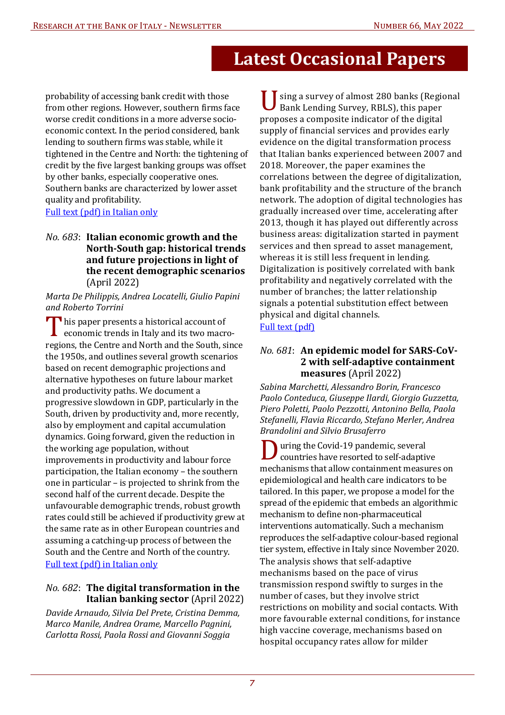probability of accessing bank credit with those from other regions. However, southern firms face worse credit conditions in a more adverse socioeconomic context. In the period considered, bank lending to southern firms was stable, while it tightened in the Centre and North: the tightening of credit by the five largest banking groups was offset by other banks, especially cooperative ones. Southern banks are characterized by lower asset quality and profitability.

[Full text \(pdf\) in Italian only](https://www.bancaditalia.it/pubblicazioni/qef/2022-0684/QEF_684_22.pdf?language_id=1?pk_campaign=Newsletter-66)

#### *No. 683*: **Italian economic growth and the North-South gap: historical trends and future projections in light of the recent demographic scenarios**  (April 2022)

#### *Marta De Philippis, Andrea Locatelli, Giulio Papini and Roberto Torrini*

This paper presents a historical account of economic trends in Italy and its two macroregions, the Centre and North and the South, since the 1950s, and outlines several growth scenarios based on recent demographic projections and alternative hypotheses on future labour market and productivity paths. We document a progressive slowdown in GDP, particularly in the South, driven by productivity and, more recently, also by employment and capital accumulation dynamics. Going forward, given the reduction in the working age population, without improvements in productivity and labour force participation, the Italian economy – the southern one in particular – is projected to shrink from the second half of the current decade. Despite the unfavourable demographic trends, robust growth rates could still be achieved if productivity grew at the same rate as in other European countries and assuming a catching-up process of between the South and the Centre and North of the country. [Full text \(pdf\) in Italian only](https://www.bancaditalia.it/pubblicazioni/qef/2022-0683/QEF_683_22.pdf?language_id=1?pk_campaign=Newsletter-66)

#### *No. 682*: **The digital transformation in the Italian banking sector** (April 2022)

*Davide Arnaudo, Silvia Del Prete, Cristina Demma, Marco Manile, Andrea Orame, Marcello Pagnini,*  Carlotta Rossi, Paola Rossi and Giovanni Soggia

sing a survey of almost 280 banks (Regional Bank Lending Survey, RBLS), this paper proposes a composite indicator of the digital supply of financial services and provides early evidence on the digital transformation process that Italian banks experienced between 2007 and 2018. Moreover, the paper examines the correlations between the degree of digitalization, bank profitability and the structure of the branch network. The adoption of digital technologies has gradually increased over time, accelerating after 2013, though it has played out differently across business areas: digitalization started in payment services and then spread to asset management, whereas it is still less frequent in lending. Digitalization is positively correlated with bank profitability and negatively correlated with the number of branches; the latter relationship signals a potential substitution effect between physical and digital channels. [Full text \(pdf\)](https://www.bancaditalia.it/pubblicazioni/qef/2022-0682/QEF_682_22.pdf?language_id=1?pk_campaign=Newsletter-66)

#### *No. 681*: **An epidemic model for SARS-CoV-2 with self-adaptive containment measures** (April 2022)

*Sabina Marchetti, Alessandro Borin, Francesco Paolo Conteduca, Giuseppe Ilardi, Giorgio Guzzetta, Piero Poletti, Paolo Pezzotti, Antonino Bella, Paola Stefanelli, Flavia Riccardo, Stefano Merler, Andrea* **Brandolini** and Silvio Brusaferro

a uring the Covid-19 pandemic, several countries have resorted to self-adaptive mechanisms that allow containment measures on epidemiological and health care indicators to be tailored. In this paper, we propose a model for the spread of the epidemic that embeds an algorithmic mechanism to define non-pharmaceutical interventions automatically. Such a mechanism reproduces the self-adaptive colour-based regional tier system, effective in Italy since November 2020. The analysis shows that self-adaptive mechanisms based on the pace of virus transmission respond swiftly to surges in the number of cases, but they involve strict restrictions on mobility and social contacts. With more favourable external conditions, for instance high vaccine coverage, mechanisms based on hospital occupancy rates allow for milder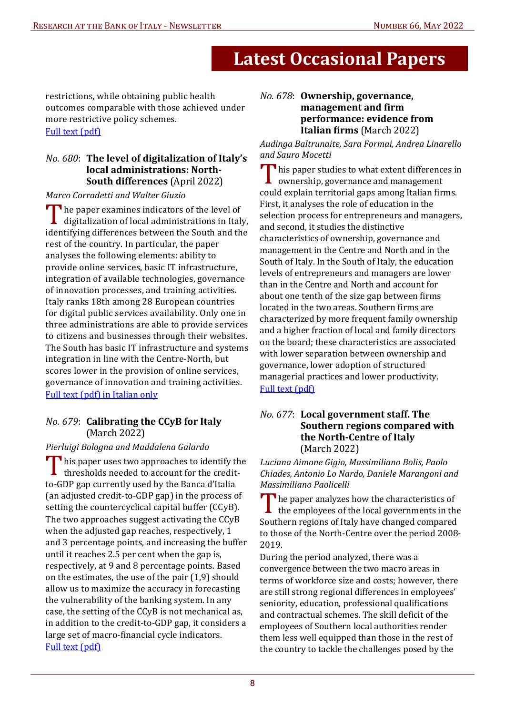restrictions, while obtaining public health outcomes comparable with those achieved under more restrictive policy schemes. [Full text \(pdf\)](https://www.bancaditalia.it/pubblicazioni/qef/2022-0681/QEF_681_22.pdf?language_id=1?pk_campaign=Newsletter-66)

#### *No. 680*: **The level of digitalization of Italy's local administrations: North-South differences** (April 2022)

**Marco Corradetti and Walter Giuzio** 

The paper examines indicators of the level of digitalization of local administrations in Italy, identifying differences between the South and the rest of the country. In particular, the paper analyses the following elements: ability to provide online services, basic IT infrastructure, integration of available technologies, governance of innovation processes, and training activities. Italy ranks 18th among 28 European countries for digital public services availability. Only one in three administrations are able to provide services to citizens and businesses through their websites. The South has basic IT infrastructure and systems integration in line with the Centre-North, but scores lower in the provision of online services, governance of innovation and training activities. [Full text \(pdf\) in Italian only](https://www.bancaditalia.it/pubblicazioni/qef/2022-0680/QEF_680_22.pdf?language_id=1?pk_campaign=Newsletter-66)

#### *No. 679*: **Calibrating the CCyB for Italy** (March 2022)

Pierluigi Bologna and Maddalena Galardo

This paper uses two approaches to identify the thresholds needed to account for the creditto-GDP gap currently used by the Banca d'Italia (an adjusted credit-to-GDP gap) in the process of setting the countercyclical capital buffer (CCyB). The two approaches suggest activating the CCyB when the adjusted gap reaches, respectively, 1 and 3 percentage points, and increasing the buffer until it reaches 2.5 per cent when the gap is, respectively, at 9 and 8 percentage points. Based on the estimates, the use of the pair (1,9) should allow us to maximize the accuracy in forecasting the vulnerability of the banking system. In any case, the setting of the CCyB is not mechanical as, in addition to the credit-to-GDP gap, it considers a large set of macro-financial cycle indicators. [Full text \(pdf\)](https://www.bancaditalia.it/pubblicazioni/qef/2022-0679/QEF_679_22.pdf?language_id=1?pk_campaign=Newsletter-66)

#### *No. 678*: **Ownership, governance, management and 7irm performance: evidence from Italian firms** (March 2022)

*Audinga Baltrunaite, Sara Formai, Andrea Linarello and Sauro Mocetti* 

**This paper studies to what extent differences in** ownership, governance and management could explain territorial gaps among Italian firms. First, it analyses the role of education in the selection process for entrepreneurs and managers, and second, it studies the distinctive characteristics of ownership, governance and management in the Centre and North and in the South of Italy. In the South of Italy, the education levels of entrepreneurs and managers are lower than in the Centre and North and account for about one tenth of the size gap between firms located in the two areas. Southern firms are characterized by more frequent family ownership and a higher fraction of local and family directors on the board; these characteristics are associated with lower separation between ownership and governance, lower adoption of structured managerial practices and lower productivity. [Full text \(pdf\)](https://www.bancaditalia.it/pubblicazioni/qef/2022-0678/QEF_678_22.pdf?language_id=1?pk_campaign=Newsletter-66)

#### *No. 677*: **Local government staff. The Southern regions compared with the North-Centre of Italy**  (March 2022)

*Luciana Aimone Gigio, Massimiliano Bolis, Paolo Chiades, Antonio Lo Nardo, Daniele Marangoni and Massimiliano Paolicelli* 

The paper analyzes how the characteristics of the employees of the local governments in the Southern regions of Italy have changed compared to those of the North-Centre over the period 2008- 2019.

During the period analyzed, there was a convergence between the two macro areas in terms of workforce size and costs; however, there are still strong regional differences in employees' seniority, education, professional qualifications and contractual schemes. The skill deficit of the employees of Southern local authorities render them less well equipped than those in the rest of the country to tackle the challenges posed by the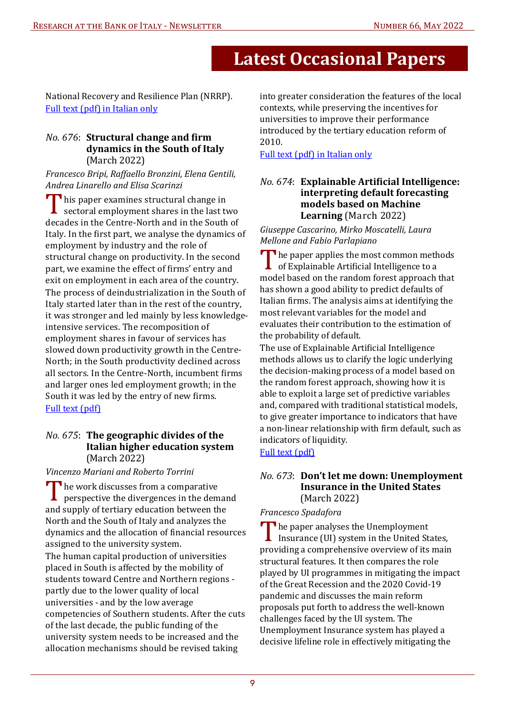National Recovery and Resilience Plan (NRRP). [Full text \(pdf\) in Italian only](https://www.bancaditalia.it/pubblicazioni/qef/2022-0677/QEF_677_22.pdf?language_id=1?pk_campaign=Newsletter-66)

#### *No.* 676: **Structural change and firm dynamics in the South of Italy** (March 2022)

*Francesco Bripi, Raffaello Bronzini, Elena Gentili,* Andrea Linarello and Elisa Scarinzi

 $\blacksquare$  his paper examines structural change in  $\blacktriangle$  sectoral employment shares in the last two decades in the Centre-North and in the South of Italy. In the first part, we analyse the dynamics of employment by industry and the role of structural change on productivity. In the second part, we examine the effect of firms' entry and exit on employment in each area of the country. The process of deindustrialization in the South of Italy started later than in the rest of the country, it was stronger and led mainly by less knowledgeintensive services. The recomposition of employment shares in favour of services has slowed down productivity growth in the Centre-North; in the South productivity declined across all sectors. In the Centre-North, incumbent firms and larger ones led employment growth; in the South it was led by the entry of new firms. [Full text \(pdf\)](https://www.bancaditalia.it/pubblicazioni/qef/2022-0676/QEF_676_22.pdf?language_id=1?pk_campaign=Newsletter-66)

#### *No. 675*: **The geographic divides of the Italian higher education system**  (March 2022)

#### *Vincenzo Mariani and Roberto Torrini*

The work discusses from a comparative<br>perspective the divergences in the demand and supply of tertiary education between the North and the South of Italy and analyzes the dynamics and the allocation of financial resources assigned to the university system.

The human capital production of universities placed in South is affected by the mobility of students toward Centre and Northern regions partly due to the lower quality of local universities - and by the low average competencies of Southern students. After the cuts of the last decade, the public funding of the university system needs to be increased and the allocation mechanisms should be revised taking

into greater consideration the features of the local contexts, while preserving the incentives for universities to improve their performance introduced by the tertiary education reform of 2010.

#### [Full text \(pdf\) in Italian only](https://www.bancaditalia.it/pubblicazioni/qef/2022-0675/QEF_675_22.pdf?language_id=1?pk_campaign=Newsletter-66)

#### *No.* 674: **Explainable Artificial Intelligence: interpreting default forecasting models based on Machine Learning** (March 2022)

*Giuseppe Cascarino, Mirko Moscatelli, Laura Mellone and Fabio Parlapiano* 

The paper applies the most common methods of Explainable Artificial Intelligence to a model based on the random forest approach that has shown a good ability to predict defaults of Italian firms. The analysis aims at identifying the most relevant variables for the model and evaluates their contribution to the estimation of the probability of default.

The use of Explainable Artificial Intelligence methods allows us to clarify the logic underlying the decision-making process of a model based on the random forest approach, showing how it is able to exploit a large set of predictive variables and, compared with traditional statistical models, to give greater importance to indicators that have a non-linear relationship with firm default, such as indicators of liquidity.

[Full text \(pdf\)](https://www.bancaditalia.it/pubblicazioni/qef/2022-0674/QEF_674_22.pdf?language_id=1?pk_campaign=Newsletter-66)

#### *No. 673*: **Don't let me down: Unemployment Insurance in the United States**  (March 2022)

#### *Francesco Spadafora*

The paper analyses the Unemployment Insurance (UI) system in the United States, providing a comprehensive overview of its main structural features. It then compares the role played by UI programmes in mitigating the impact of the Great Recession and the 2020 Covid-19 pandemic and discusses the main reform proposals put forth to address the well-known challenges faced by the UI system. The Unemployment Insurance system has played a decisive lifeline role in effectively mitigating the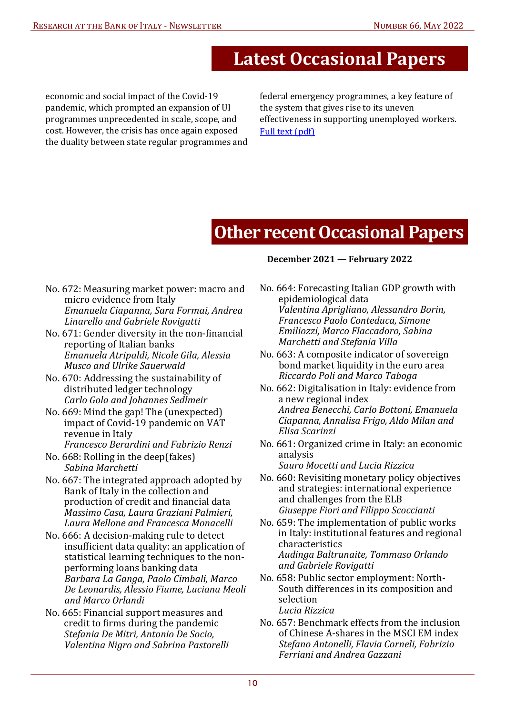economic and social impact of the Covid-19 pandemic, which prompted an expansion of UI programmes unprecedented in scale, scope, and cost. However, the crisis has once again exposed the duality between state regular programmes and federal emergency programmes, a key feature of the system that gives rise to its uneven effectiveness in supporting unemployed workers. [Full text \(pdf\)](https://www.bancaditalia.it/pubblicazioni/qef/2022-0673/QEF_673_22.pdf?language_id=1?pk_campaign=Newsletter-66)

## **Other recent Occasional Papers**

- [No. 672: Measuring market power: macro and](https://www.bancaditalia.it/pubblicazioni/qef/2022-0672/QEF_672_22.pdf?language_id=1?pk_campaign=Newsletter-66)  micro evidence from Italy *Emanuela Ciapanna, Sara Formai, Andrea Linarello and Gabriele Rovigatti*
- No. 671: Gender diversity in the non-financial reporting of Italian banks *Emanuela Atripaldi, Nicole Gila, Alessia Musco and Ulrike Sauerwald*
- [No. 670: Addressing the sustainability of](https://www.bancaditalia.it/pubblicazioni/qef/2022-0670/QEF_670_22.pdf?language_id=1?pk_campaign=Newsletter-66)  distributed ledger technology *Carlo Gola and Johannes Sedlmeir*
- [No. 669: Mind the gap! The \(unexpected\)](https://www.bancaditalia.it/pubblicazioni/qef/2022-0669/QEF_669_22.pdf?language_id=1?pk_campaign=Newsletter-66)  impact of Covid-19 pandemic on VAT revenue in Italy *Francesco Berardini and Fabrizio Renzi*
- [No. 668: Rolling in the deep\(fakes\)](https://www.bancaditalia.it/pubblicazioni/qef/2022-0668/QEF_668_22.pdf?language_id=1?pk_campaign=Newsletter-66)  *Sabina Marchetti*
- [No. 667: The integrated approach adopted by](https://www.bancaditalia.it/pubblicazioni/qef/2022-0667/QEF_667_22.pdf?language_id=1?pk_campaign=Newsletter-66) Bank of Italy in the collection and production of credit and financial data *Massimo Casa, Laura Graziani Palmieri,*  Laura Mellone and Francesca Monacelli
- No. 666: A decision-making rule to detect insufficient data quality: an application of statistical learning techniques to the nonperforming loans banking data *Barbara La Ganga, Paolo Cimbali, Marco [De Leonardis, Alessio Fiume, Luciana Meoli](https://www.bancaditalia.it/pubblicazioni/qef/2022-0666/QEF_666_22.pdf?language_id=1?pk_campaign=Newsletter-66)  and Marco Orlandi*
- [No. 665: Financial support measures and](https://www.bancaditalia.it/pubblicazioni/qef/2021-0665/QEF_665_21.pdf?language_id=1?pk_campaign=Newsletter-66)  credit to firms during the pandemic *Stefania De Mitri, Antonio De Socio, Valentina Nigro and Sabrina Pastorelli*

#### **December 2021 — February 2022**

- [No. 664: Forecasting Italian GDP growth with](https://www.bancaditalia.it/pubblicazioni/qef/2021-0664/QEF_664_21.pdf?language_id=1?pk_campaign=Newsletter-66)  epidemiological data *Valentina Aprigliano, Alessandro Borin, Francesco Paolo Conteduca, Simone Emiliozzi, Marco Flaccadoro, Sabina Marchetti and Stefania Villa*
- [No. 663: A composite indicator of sovereign](https://www.bancaditalia.it/pubblicazioni/qef/2021-0663/QEF_663_21.pdf?language_id=1?pk_campaign=Newsletter-66)  bond market liquidity in the euro area *Riccardo Poli and Marco Taboga*
- [No. 662: Digitalisation in Italy: evidence from](https://www.bancaditalia.it/pubblicazioni/qef/2021-0662/QEF_662_21.pdf?language_id=1?pk_campaign=Newsletter-66)  a new regional index *Andrea Benecchi, Carlo Bottoni, Emanuela Ciapanna, Annalisa Frigo, Aldo Milan and Elisa Scarinzi*
- [No. 661: Organized crime in Italy: an economic](https://www.bancaditalia.it/pubblicazioni/qef/2021-0661/QEF_661_21.pdf?language_id=1?pk_campaign=Newsletter-66)  analysis *Sauro Mocetti and Lucia Rizzica*
- [No. 660: Revisiting monetary policy objectives](https://www.bancaditalia.it/pubblicazioni/qef/2021-0660/QEF_660_21.pdf?language_id=1?pk_campaign=Newsletter-66)  and strategies: international experience and challenges from the ELB *Giuseppe Fiori and Filippo Scoccianti*
- [No. 659: The implementation of public works](https://www.bancaditalia.it/pubblicazioni/qef/2021-0659/QEF_659_21.pdf?language_id=1?pk_campaign=Newsletter-66)  in Italy: institutional features and regional characteristics *Audinga Baltrunaite, Tommaso Orlando and Gabriele Rovigatti*
- [No. 658: Public sector employment: North-](https://www.bancaditalia.it/pubblicazioni/qef/2021-0658/QEF_658_21.pdf?language_id=1?pk_campaign=Newsletter-66)South differences in its composition and selection *Lucia Rizzica*
- [No. 657: Benchmark effects from the inclusion](https://www.bancaditalia.it/pubblicazioni/qef/2021-0657/QEF_657_21.pdf?language_id=1?pk_campaign=Newsletter-66)  of Chinese A-shares in the MSCI EM index *Stefano Antonelli, Flavia Corneli, Fabrizio Ferriani and Andrea Gazzani*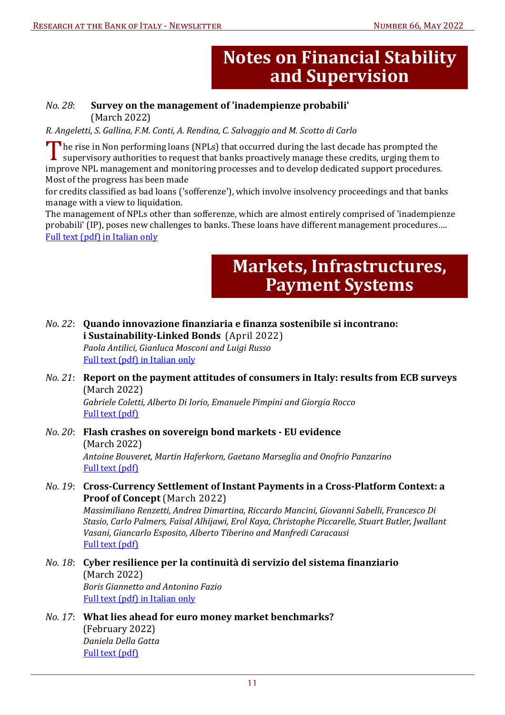## **Notes on Financial Stability and Supervision**

#### <span id="page-10-0"></span>*No. 28*: **Survey on the management of 'inadempienze probabili'**  (March 2022)

*R. Angeletti, S. Gallina, F.M. Conti, A. Rendina, C. Salvaggio and M. Scotto di Carlo* 

The rise in Non performing loans (NPLs) that occurred during the last decade has prompted the supervisory authorities to request that banks proactively manage these credits, urging them to improve NPL management and monitoring processes and to develop dedicated support procedures. Most of the progress has been made

for credits classified as bad loans ('sofferenze'), which involve insolvency proceedings and that banks manage with a view to liquidation.

The management of NPLs other than sofferenze, which are almost entirely comprised of 'inadempienze probabili' (IP), poses new challenges to banks. These loans have different management procedures…. [Full text \(pdf\) in Italian only](https://www.bancaditalia.it/pubblicazioni/note-stabilita/2022-0028/index.html)

## **Markets, Infrastructures, Payment Systems**

*No. 22*: **Quando innovazione 7inanziaria e 7inanza sostenibile si incontrano: i Sustainability-Linked Bonds** (April 2022) Paola Antilici, Gianluca Mosconi and Luigi Russo

[Full text \(pdf\) in Italian only](https://www.bancaditalia.it/pubblicazioni/mercati-infrastrutture-e-sistemi-di-pagamento/questioni-istituzionali/2022-022/index.html)

*No. 21*: **Report on the payment attitudes of consumers in Italy: results from ECB surveys**  (March 2022)

Gabriele Coletti, Alberto Di Iorio, Emanuele Pimpini and Giorgia Rocco  [Full text \(pdf\)](https://www.bancaditalia.it/pubblicazioni/mercati-infrastrutture-e-sistemi-di-pagamento/questioni-istituzionali/2022-021/index.html)

*No. 20*: **Flash crashes on sovereign bond markets - EU evidence**  (March 2022) Antoine Bouveret, Martin Haferkorn, Gaetano Marseglia and Onofrio Panzarino [Full text \(pdf\)](https://www.bancaditalia.it/pubblicazioni/mercati-infrastrutture-e-sistemi-di-pagamento/approfondimenti/2022-020/index.html)

#### *No. 19*: **Cross-Currency Settlement of Instant Payments in a Cross-Platform Context: a Proof of Concept** (March 2022)

 *Massimiliano Renzetti, Andrea Dimartina, Riccardo Mancini, Giovanni Sabelli, Francesco Di Stasio, Carlo Palmers, Faisal Alhijawi, Erol Kaya, Christophe Piccarelle, Stuart Butler, Jwallant*  Vasani, Giancarlo Esposito, Alberto Tiberino and Manfredi Caracausi [Full text \(pdf\)](https://www.bancaditalia.it/pubblicazioni/mercati-infrastrutture-e-sistemi-di-pagamento/approfondimenti/2022-019/index.html)

*No. 18*: **Cyber resilience per la continuità di servizio del sistema 7inanziario**  (March 2022)  *Boris Giannetto and Antonino Fazio*  [Full text \(pdf\) in Italian only](https://www.bancaditalia.it/pubblicazioni/mercati-infrastrutture-e-sistemi-di-pagamento/approfondimenti/2022-018/index.html)

#### *No. 17*: **What lies ahead for euro money market benchmarks?**  (February 2022)  *Daniela Della Gatta*  [Full text \(pdf\)](https://www.bancaditalia.it/pubblicazioni/mercati-infrastrutture-e-sistemi-di-pagamento/questioni-istituzionali/2022-017/index.html)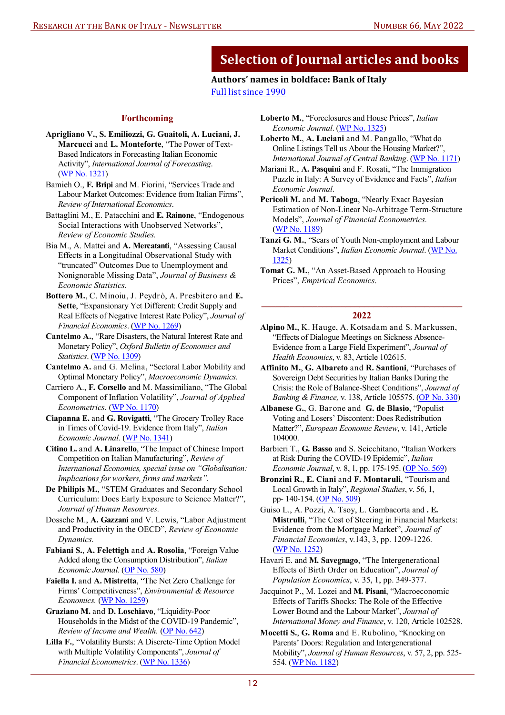### **Authors' names in boldface: Bank of Italy**

[Full list since 1990](https://www.bancaditalia.it/compiti/ricerca-economica/web_ricerca.zip)

#### **Forthcoming**

- <span id="page-11-0"></span>**Aprigliano V.**, **S. Emiliozzi, G. Guaitoli, A. Luciani, J. Marcucci** and **L. Monteforte**, "The Power of Text-Based Indicators in Forecasting Italian Economic Activity", *International Journal of Forecasting*. [\(WP No. 1321\)](https://www.bancaditalia.it/pubblicazioni/temi-discussione/2021/2021-1321/en_Tema_1321.pdf?language_id=1?pk_campaign=Newsletter-66)
- Bamieh O., **F. Bripi** and M. Fiorini, "Services Trade and Labour Market Outcomes: Evidence from Italian Firms", *Review of International Economics*.
- Battaglini M., E. Patacchini and **E. Rainone**, "Endogenous Social Interactions with Unobserved Networks", *Review of Economic Studies.*
- Bia M., A. Mattei and **A. Mercatanti**, "Assessing Causal Effects in a Longitudinal Observational Study with "truncated" Outcomes Due to Unemployment and Nonignorable Missing Data", *Journal of Business & Economic Statistics.*
- **Bottero M.**, C. Minoiu, J. Peydrò, A. Presbitero and **E. Sette**, "Expansionary Yet Different: Credit Supply and Real Effects of Negative Interest Rate Policy", *Journal of Financial Economics*. [\(WP No. 1269\)](https://www.bancaditalia.it/pubblicazioni/temi-discussione/2020/2020-1269/en_Tema_1269.pdf?language_id=1?pk_campaign=Newsletter-66)
- **Cantelmo A.**, "Rare Disasters, the Natural Interest Rate and Monetary Policy", *Oxford Bulletin of Economics and Statistics*. [\(WP No. 1309\)](https://www.bancaditalia.it/pubblicazioni/temi-discussione/2020/2020-1309/en_Tema_1309.pdf?language_id=1?pk_campaign=Newsletter-66)
- **Cantelmo A.** and G. Melina, "Sectoral Labor Mobility and Optimal Monetary Policy", *Macroeconomic Dynamics*.
- Carriero A., **F. Corsello** and M. Massimiliano, "The Global Component of Inflation Volatility", *Journal of Applied Econometrics.* [\(WP No. 1170\)](https://www.bancaditalia.it/pubblicazioni/temi-discussione/2018/2018-1170/en_tema_1170.pdf?language_id=1?pk_campaign=Newsletter-66)
- **Ciapanna E.** and **G. Rovigatti**, "The Grocery Trolley Race in Times of Covid-19. Evidence from Italy", *Italian Economic Journal.* [\(WP No. 1341\)](https://www.bancaditalia.it/pubblicazioni/temi-discussione/2021/2021-1341/en_tema_1341.pdf?language_id=1?pk_campaign=Newsletter-66)
- **Citino L.** and **A. Linarello**, "The Impact of Chinese Import Competition on Italian Manufacturing", *Review of International Economics, special issue on "Globalisation: Implications for workers, firms and markets".*
- **De Philipis M.**, "STEM Graduates and Secondary School Curriculum: Does Early Exposure to Science Matter?", *Journal of Human Resources.*
- Dossche M., **A. Gazzani** and V. Lewis, "Labor Adjustment and Productivity in the OECD", *Review of Economic Dynamics.*
- **Fabiani S.**, **A. Felettigh** and **A. Rosolia**, "Foreign Value Added along the Consumption Distribution", *Italian Economic Journal*. ([OP No. 580\)](https://www.bancaditalia.it/pubblicazioni/qef/2020-0580/QEF_580_20.pdf?language_id=1?pk_campaign=Newsletter-66)
- **Faiella I.** and **A. Mistretta**, "The Net Zero Challenge for Firms' Competitiveness", *Environmental & Resource Economics.* [\(WP No. 1259\)](https://www.bancaditalia.it/pubblicazioni/temi-discussione/2020/2020-1259/en_Tema_1259.pdf?language_id=1?pk_campaign=Newsletter-66)
- **Graziano M.** and **D. Loschiavo**, "Liquidity-Poor Households in the Midst of the COVID-19 Pandemic", *Review of Income and Wealth.* [\(OP No. 642\)](https://www.bancaditalia.it/pubblicazioni/qef/2021-0642/QEF_642_21.pdf?language_id=1?pk_campaign=Newsletter-66)
- **Lilla F.**, "Volatility Bursts: A Discrete-Time Option Model with Multiple Volatility Components", *Journal of Financial Econometrics*. [\(WP No. 1336\)](https://www.bancaditalia.it/pubblicazioni/temi-discussione/2021/2021-1336/en_tema_1336.pdf?language_id=1?pk_campaign=Newsletter-66)
- **Loberto M.**, "Foreclosures and House Prices", *Italian Economic Journal*. ([WP No. 1325\)](https://www.bancaditalia.it/pubblicazioni/temi-discussione/2021/2021-1325/en_Tema_1325.pdf?language_id=1?pk_campaign=Newsletter-66)
- **Loberto M.**, **A. Luciani** and M. Pangallo, "What do Online Listings Tell us About the Housing Market?", *International Journal of Central Banking*. [\(WP No. 1171\)](https://www.bancaditalia.it/pubblicazioni/temi-discussione/2018/2018-1171/en_tema_1171.pdf?language_id=1?pk_campaign=Newsletter-66)
- Mariani R., **A. Pasquini** and F. Rosati, "The Immigration Puzzle in Italy: A Survey of Evidence and Facts", *Italian Economic Journal*.
- **Pericoli M.** and **M. Taboga**, "Nearly Exact Bayesian Estimation of Non-Linear No-Arbitrage Term-Structure Models", *Journal of Financial Econometrics.* [\(WP No. 1189\)](https://www.bancaditalia.it/pubblicazioni/temi-discussione/2018/2018-1189/en_tema_1189.pdf?language_id=1?pk_campaign=Newsletter-66)
- **Tanzi G. M.**, "Scars of Youth Non-employment and Labour Market Conditions", *Italian Economic Journal*. [\(WP No.](https://www.bancaditalia.it/pubblicazioni/temi-discussione/2021/2021-1325/en_Tema_1325.pdf?language_id=1?pk_campaign=Newsletter-66)  [1325\)](https://www.bancaditalia.it/pubblicazioni/temi-discussione/2021/2021-1325/en_Tema_1325.pdf?language_id=1?pk_campaign=Newsletter-66)

#### **\_\_\_\_\_\_\_\_\_\_\_\_\_\_\_\_\_\_\_\_\_\_\_\_\_\_\_\_\_\_\_\_\_\_\_\_\_\_\_\_\_\_\_ 2022**

- **Alpino M.**, K. Hauge, A. Kotsadam and S. Markussen, "Effects of Dialogue Meetings on Sickness Absence-Evidence from a Large Field Experiment", *Journal of Health Economics*, v. 83, Article 102615.
- **Affinito M.**, **G. Albareto** and **R. Santioni**, "Purchases of Sovereign Debt Securities by Italian Banks During the Crisis: the Role of Balance-Sheet Conditions", *Journal of Banking & Finance,* v. 138, Article 105575. [\(OP No. 330](https://www.bancaditalia.it/pubblicazioni/qef/2016-0330/QEF_330_16.pdf?language_id=1?pk_campaign=Newsletter-66))
- **Albanese G.**, G. Barone and **G. de Blasio**, "Populist Voting and Losers' Discontent: Does Redistribution Matter?", *European Economic Review*, v. 141, Article 104000.
- Barbieri T., **G. Basso** and S. Scicchitano, "Italian Workers at Risk During the COVID-19 Epidemic", *Italian Economic Journal*, v. 8, 1, pp. 175-195. [\(OP No. 569\)](https://www.bancaditalia.it/pubblicazioni/qef/2020-0569/QEF_569_20.pdf?language_id=1?pk_campaign=Newsletter-66)
- **Bronzini R.**, **E. Ciani** and **F. Montaruli**, "Tourism and Local Growth in Italy", *Regional Studies*, v. 56, 1, pp- 140-154[. \(OP No. 509\)](https://www.bancaditalia.it/pubblicazioni/qef/2019-0509/QEF_509_19.pdf?language_id=1?pk_campaign=Newsletter-66)
- Guiso L., A. Pozzi, A. Tsoy, L. Gambacorta and **. E. Mistrulli**, "The Cost of Steering in Financial Markets: Evidence from the Mortgage Market", *Journal of Financial Economics*, v.143, 3, pp. 1209-1226. [\(WP No. 1252\)](https://www.bancaditalia.it/pubblicazioni/temi-discussione/2019/2019-1252/en_Tema_1252.pdf?language_id=1?pk_campaign=Newsletter-66)
- Havari E. and **M. Savegnago**, "The Intergenerational Effects of Birth Order on Education", *Journal of Population Economics*, v. 35, 1, pp. 349-377.
- Jacquinot P., M. Lozei and **M. Pisani**, "Macroeconomic Effects of Tariffs Shocks: The Role of the Effective Lower Bound and the Labour Market", *Journal of International Money and Finance*, v. 120, Article 102528.
- **Mocetti S.**, **G. Roma** and E. Rubolino, "Knocking on Parents' Doors: Regulation and Intergenerational Mobility", *Journal of Human Resources*, v. 57, 2, pp. 525- 554. [\(WP No. 1182\)](https://www.bancaditalia.it/pubblicazioni/temi-discussione/2018/2018-1182/en_tema_1182.pdf?language_id=1?pk_campaign=Newsletter-66)

**Tomat G. M.**, "An Asset-Based Approach to Housing Prices", *Empirical Economics*.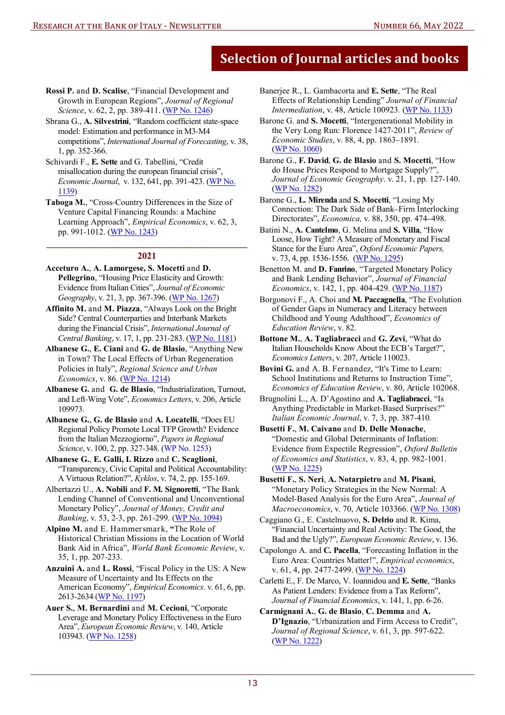- **Rossi P.** and **D. Scalise**, "Financial Development and Growth in European Regions", *Journal of Regional Science*, v. 62, 2, pp. 389-411. [\(WP No. 1246\)](https://www.bancaditalia.it/pubblicazioni/temi-discussione/2019/2019-1246/en_Tema_1246.pdf?language_id=1?pk_campaign=Newsletter-66)
- Sbrana G., **A. Silvestrini**, "Random coefficient state-space model: Estimation and performance in M3-M4 competitions", *International Journal of Forecasting*, v. 38, 1, pp. 352-366.
- Schivardi F., **E. Sette** and G. Tabellini, "Credit misallocation during the european financial crisis", *Economic Journal*, v. 132, 641, pp. 391-423. [\(WP No](https://www.bancaditalia.it/pubblicazioni/temi-discussione/2017/2017-1139/en_tema_1139.pdf?language_id=1?pk_campaign=Newsletter-66). [1139\)](https://www.bancaditalia.it/pubblicazioni/temi-discussione/2017/2017-1139/en_tema_1139.pdf?language_id=1?pk_campaign=Newsletter-66)
- **Taboga M.**, "Cross-Country Differences in the Size of Venture Capital Financing Rounds: a Machine Learning Approach", *Empirical Economics*, v. 62, 3, pp. 991-1012. [\(WP No. 1243\)](https://www.bancaditalia.it/pubblicazioni/temi-discussione/2019/2019-1243/en_Tema_1243.pdf?language_id=1?pk_campaign=Newsletter-66)

#### **\_\_\_\_\_\_\_\_\_\_\_\_\_\_\_\_\_\_\_\_\_\_\_\_\_\_\_\_\_\_\_\_\_\_\_\_\_\_\_\_\_\_\_ 2021**

- **Acceturo A.**, **A. Lamorgese, S. Mocetti** and **D. Pellegrino**, "Housing Price Elasticity and Growth: Evidence from Italian Cities", *Journal of Economic Geography*, v. 21, 3, pp. 367-396. ([WP No. 1267\)](https://www.bancaditalia.it/pubblicazioni/temi-discussione/2020/2020-1267/en_Tema_1267.pdf?language_id=1?pk_campaign=Newsletter-66)
- **Affinito M.** and **M. Piazza**, "Always Look on the Bright Side? Central Counterparties and Interbank Markets during the Financial Crisis", *International Journal of Central Banking*, v. 17, 1, pp. 231-283. ([WP No. 1181\)](https://www.bancaditalia.it/pubblicazioni/temi-discussione/2018/2018-1181/en_tema_1181.pdf?language_id=1?pk_campaign=Newsletter-66)
- **Albanese G.**, **E. Ciani** and **G. de Blasio**, "Anything New in Town? The Local Effects of Urban Regeneration Policies in Italy", *Regional Science and Urban Economics*, v. 86. [\(WP No. 1214](https://www.bancaditalia.it/pubblicazioni/temi-discussione/2019/2019-1214/en_Tema_1214.pdf?language_id=1?pk_campaign=Newsletter-66))
- **Albanese G.** and **G. de Blasio**, "Industrialization, Turnout, and Left-Wing Vote", *Economics Letters*, v. 206, Article 109973.
- **Albanese G.**, **G. de Blasio** and **A. Locatelli**, "Does EU Regional Policy Promote Local TFP Growth? Evidence from the Italian Mezzogiorno", *Papers in Regional Science*, v. 100, 2, pp. 327-348. [\(WP No. 1253\)](https://www.bancaditalia.it/pubblicazioni/temi-discussione/2019/2019-1253/en_Tema_1253.pdf?pk_campaign=Newsletter-66)
- **Albanese G.**, **E. Galli, I. Rizzo** and **C. Scaglioni**, "Transparency, Civic Capital and Political Accountability: A Virtuous Relation?", *Kyklos*, v. 74, 2, pp. 155-169.
- Albertazzi U., **A. Nobili** and **F. M. Signoretti**, "The Bank Lending Channel of Conventional and Unconventional Monetary Policy", *Journal of Money, Credit and Banking*, v. 53, 2-3, pp. 261-299. [\(WP No. 1094\)](https://www.bancaditalia.it/pubblicazioni/temi-discussione/2016/2016-1094/en_tema_1094.pdf?language_id=1?pk_campaign=Newsletter-66)
- **Alpino M.** and E. Hammersmark, **"**The Role of Historical Christian Missions in the Location of World Bank Aid in Africa", *World Bank Economic Review*, v. 35, 1, pp. 207-233.
- **Anzuini A.** and **L. Rossi**, "Fiscal Policy in the US: A New Measure of Uncertainty and Its Effects on the American Economy", *Empirical Economics*. v. 61, 6, pp. 2613-2634 [\(WP No. 1197\)](https://www.bancaditalia.it/pubblicazioni/temi-discussione/2018/2018-1197/en_tema_1197.pdf?language_id=1?pk_campaign=Newsletter-66)
- **Auer S.**, **M. Bernardini** and **M. Cecioni**, "Corporate Leverage and Monetary Policy Effectiveness in the Euro Area", *European Economic Review*, v. 140, Article 103943. [\(WP No. 1258](https://www.bancaditalia.it/pubblicazioni/temi-discussione/2020/2020-1282/en_Tema-1282.pdf?language_id=1?pk_campaign=Newsletter-66))
- Banerjee R., L. Gambacorta and **E. Sette**, "The Real Effects of Relationship Lending" *Journal of Financial Intermediation*, v. 48, Article 100923*.* [\(WP No. 1133\)](https://www.bancaditalia.it/pubblicazioni/temi-discussione/2017/2017-1133/en_tema_1133.pdf?language_id=1?pk_campaign=Newsletter-66)
- Barone G. and **S. Mocetti**, "Intergenerational Mobility in the Very Long Run: Florence 1427-2011", *Review of Economic Studies*, v. 88, 4, pp. 1863–1891. [\(W](https://www.bancaditalia.it/pubblicazioni/temi-discussione/2016/2016-1060/en_tema_1060.pdf?language_id=1?pk_campaign=Newsletter-66)[P No. 1060\)](https://www.bancaditalia.it/pubblicazioni/temi-discussione/2016/2016-1060/en_tema_1060.pdf?language_id=1?pk_campaign=Newsletter-65)
- Barone G., **F. David**, **G. de Blasio** and **S. Mocetti**, "How do House Prices Respond to Mortgage Supply?", *Journal of Economic Geography*. v. 21, 1, pp. 127-140. ([WP No. 1282\)](https://www.bancaditalia.it/pubblicazioni/temi-discussione/2020/2020-1282/en_Tema-1282.pdf?language_id=1?pk_campaign=Newsletter-65)
- Barone G., **L. Mirenda** and **S. Mocetti**, "Losing My Connection: The Dark Side of Bank–Firm Interlocking Directorates", *Economica,* v. 88, 350, pp. 474–498.
- Batini N., **A. Cantelmo**, G. Melina and **S. Villa**, "How Loose, How Tight? A Measure of Monetary and Fiscal Stance for the Euro Area", *Oxford Economic Papers,* v. 73, 4, pp. 1536-1556. [\(WP No. 1295\)](https://www.bancaditalia.it/pubblicazioni/temi-discussione/2018/2018-1187/en_tema_1187.pdf?language_id=1?pk_campaign=Newsletter-66)
- Benetton M. and **D. Fanrino**, "Targeted Monetary Policy and Bank Lending Behavior", *Journal of Financial Economics*, v. 142, 1, pp. 404-429*.* [\(WP No. 1187\)](https://www.bancaditalia.it/pubblicazioni/temi-discussione/2020/2020-1295/en_Tema-1295.pdf?language_id=1?pk_campaign=Newsletter-66)
- Borgonovi F., A. Choi and **M. Paccagnella**, "The Evolution of Gender Gaps in Numeracy and Literacy between Childhood and Young Adulthood", *Economics of Education Review*, v. 82.
- **Bottone M.**, **A. Tagliabracci** and **G. Zevi**, "What do Italian Households Know About the ECB's Target?", *Economics Letters*, v. 207, Article 110023.
- **Bovini G.** and A. B. Fernandez, "It's Time to Learn: School Institutions and Returns to Instruction Time", *Economics of Education Review*, v. 80, Article 102068.
- Brugnolini L., A. D'Agostino and **A. Tagliabracci**, "Is Anything Predictable in Market-Based Surprises?" *Italian Economic Journal*, v. 7, 3, pp. 387-410*.*
- **Busetti F.**, **M. Caivano** and **D. Delle Monache**, "Domestic and Global Determinants of Inflation: Evidence from Expectile Regression", *Oxford Bulletin of Economics and Statistics*, v. 83, 4, pp. 982-1001. [\(WP No. 1225\)](https://www.bancaditalia.it/pubblicazioni/temi-discussione/2019/2019-1225/en_Tema_1225.pdf?language_id=1?pk_campaign=Newsletter-66)
- **Busetti F.**, **S. Neri**, **A. Notarpietro** and **M. Pisani**, "Monetary Policy Strategies in the New Normal: A Model-Based Analysis for the Euro Area", *Journal of Macroeconomics*, v. 70, Article 103366. [\(WP No. 1308\)](https://www.bancaditalia.it/pubblicazioni/temi-discussione/2020/2020-1308/en_Tema_1308.pdf?language_id=1?pk_campaign=Newsletter-66)
- Caggiano G., E. Castelnuovo, **S. Delrio** and R. Kima, "Financial Uncertainty and Real Activity: The Good, the Bad and the Ugly?", *European Economic Review*, v. 136.
- Capolongo A. and **C. Pacella**, "Forecasting Inflation in the Euro Area: Countries Matter!", *Empirical economics*, v. 61, 4, pp. 2477-2499. [\(WP No. 1224\)](https://www.bancaditalia.it/pubblicazioni/temi-discussione/2019/2019-1224/en_Tema_1224.pdf?language_id=1?pk_campaign=Newsletter-66)
- Carletti E., F. De Marco, V. Ioannidou and **E. Sette**, "Banks As Patient Lenders: Evidence from a Tax Reform", *Journal of Financial Economics*, v. 141, 1, pp. 6-26.
- **Carmignani A.**, **G. de Blasio**, **C. Demma** and **A. D'Ignazio**, "Urbanization and Firm Access to Credit", *Journal of Regional Science*, v. 61, 3, pp. 597-622. [\(WP No. 1222\)](https://www.bancaditalia.it/pubblicazioni/temi-discussione/2019/2019-1222/en_Tema_1222.pdf?language_id=1?pk_campaign=Newsletter-66)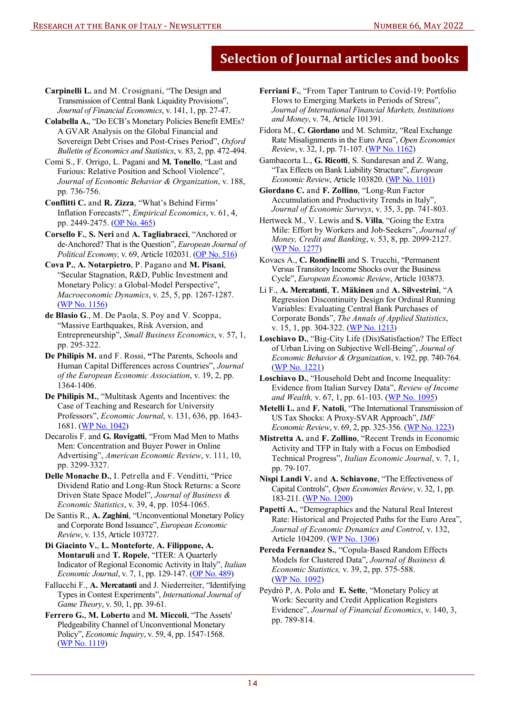- **Carpinelli L.** and M. Crosignani, "The Design and Transmission of Central Bank Liquidity Provisions", *Journal of Financial Economics*, v. 141, 1, pp. 27-47.
- **Colabella A.**, "Do ECB's Monetary Policies Benefit EMEs? A GVAR Analysis on the Global Financial and Sovereign Debt Crises and Post-Crises Period", *Oxford Bulletin of Economics and Statistics*, v. 83, 2, pp. 472-494.
- Comi S., F. Orrigo, L. Pagani and **M. Tonello**, "Last and Furious: Relative Position and School Violence", *Journal of Economic Behavior & Organization*, v. 188, pp. 736-756.
- **Conflitti C.** and **R. Zizza**, "What's Behind Firms' Inflation Forecasts?", *Empirical Economics*, v. 61, 4, pp. 2449-2475. [\(OP No. 465\)](https://www.bancaditalia.it/pubblicazioni/qef/2018-0465/index.html?com.dotmarketing.htmlpage.language=1?pk_campaign=Newsletter-66)
- **Corsello F.**, **S. Neri** and **A. Tagliabracci**, "Anchored or de-Anchored? That is the Question", *European Journal of Political Economy,* v. 69, Article 10203[1. \(OP No. 516\)](https://www.bancaditalia.it/pubblicazioni/qef/2019-0516/QEF_516_19.pdf?language_id=1?pk_campaign=Newsletter-66)
- **Cova P.**, **A. Notarpietro**, P. Pagano and **M. Pisani**, "Secular Stagnation, R&D, Public Investment and Monetary Policy: a Global-Model Perspective", *Macroeconomic Dynamics*, v. 25, 5, pp. 1267-1287. [\(WP No. 1156\)](https://www.bancaditalia.it/pubblicazioni/temi-discussione/2017/2017-1156/en_tema_1156.pdf?language_id=1?pk_campaign=Newsletter-66)
- **de Blasio G**., M. De Paola, S. Poy and V. Scoppa, "Massive Earthquakes, Risk Aversion, and Entrepreneurship", *Small Business Economics*, v. 57, 1, pp. 295-322.
- **De Philipis M.** and F. Rossi, **"**The Parents, Schools and Human Capital Differences across Countries", *Journal of the European Economic Association*, v. 19, 2, pp. 1364-1406.
- **De Philipis M.**, "Multitask Agents and Incentives: the Case of Teaching and Research for University Professors", *Economic Journal*, v. 131, 636, pp. 1643- 1681. ([WP No. 1042\)](https://www.bancaditalia.it/pubblicazioni/temi-discussione/2015/2015-1042/en_tema_1042.pdf?language_id=1?pk_campaign=Newsletter-66)
- Decarolis F. and **G. Rovigatti**, "From Mad Men to Maths Men: Concentration and Buyer Power in Online Advertising", *American Economic Review*, v. 111, 10, pp. 3299-3327.
- **Delle Monache D.**, I. Petrella and F. Venditti, "Price Dividend Ratio and Long-Run Stock Returns: a Score Driven State Space Model", *Journal of Business & Economic Statistics*, v. 39, 4, pp. 1054-1065.
- De Santis R., **A. Zaghini**, "Unconventional Monetary Policy and Corporate Bond Issuance", *European Economic Review*, v. 135, Article 103727.
- **Di Giacinto V.**, **L. Monteforte**, **A. Filippone, A. Montaruli** and **T. Ropele**, "ITER: A Quarterly Indicator of Regional Economic Activity in Italy", *Italian Economic Journal*, v. 7, 1, pp. 129-147. [\(OP No. 489\)](https://www.bancaditalia.it/pubblicazioni/qef/2019-0489/QEF_489_19.pdf?language_id=1?pk_campaign=Newsletter-66)
- Fallucchi F., **A. Mercatanti** and J. Niederreiter, "Identifying Types in Contest Experiments", *International Journal of Game Theory*, v. 50, 1, pp. 39-61.
- **Ferrero G.**, **M. Loberto** and **M. Miccoli**, "The Assets' Pledgeability Channel of Unconventional Monetary Policy", *Economic Inquiry*, v. 59, 4, pp. 1547-1568. [\(WP No. 1119\)](https://www.bancaditalia.it/pubblicazioni/temi-discussione/2017/2017-1119/en_tema_1119.pdf?language_id=1?pk_campaign=Newsletter-66)
- **Ferriani F.**, "From Taper Tantrum to Covid-19: Portfolio Flows to Emerging Markets in Periods of Stress", *Journal of International Financial Markets, Institutions and Money*, v. 74, Article 101391.
- Fidora M., **C. Giordano** and M. Schmitz, "Real Exchange Rate Misalignments in the Euro Area", *Open Economies Review*, v. 32, 1, pp. 71-107[. \(WP No. 1162\)](https://www.bancaditalia.it/pubblicazioni/temi-discussione/2018/2018-1162/index.html?com.dotmarketing.htmlpage.language=1?pk_campaign=Newsletter-66)
- Gambacorta L., **G. Ricotti**, S. Sundaresan and Z. Wang, "Tax Effects on Bank Liability Structure", *European Economic Review*, Article 103820. [\(WP No. 1101](https://www.bancaditalia.it/pubblicazioni/temi-discussione/2017/2017-1101/en_tema_1101.pdf?language_id=1?pk_campaign=Newsletter-66))
- **Giordano C.** and **F. Zollino**, "Long-Run Factor Accumulation and Productivity Trends in Italy", *Journal of Economic Surveys*, v. 35, 3, pp. 741-803.
- Hertweck M., V. Lewis and **S. Villa**, "Going the Extra Mile: Effort by Workers and Job-Seekers", *Journal of Money, Credit and Banking*, v. 53, 8, pp. 2099-2127. [\(WP No. 1277](https://www.bancaditalia.it/pubblicazioni/temi-discussione/2020/2020-1277/en_Tema_1277.pdf?language_id=1?pk_campaign=Newsletter-66))
- Kovacs A., **C. Rondinelli** and S. Trucchi, "Permanent Versus Transitory Income Shocks over the Business Cycle", *European Economic Review*, Article 103873.
- Li F., **A. Mercatanti**, **T. Mäkinen** and **A. Silvestrini**, "A Regression Discontinuity Design for Ordinal Running Variables: Evaluating Central Bank Purchases of Corporate Bonds", *The Annals of Applied Statistics*, v. 15, 1, pp. 304-322. [\(WP No. 1213](https://www.bancaditalia.it/pubblicazioni/temi-discussione/2019/2019-1213/en_Tema_1213.pdf?language_id=1?pk_campaign=Newsletter-66))
- **Loschiavo D.**, "Big-City Life (Dis)Satisfaction? The Effect of Urban Living on Subjective Well-Being", *Journal of Economic Behavior & Organization*, v. 192, pp. 740-764. ([WP No. 1221\)](https://www.bancaditalia.it/pubblicazioni/temi-discussione/2019/2019-1221/en_Tema_1221.pdf?language_id=1?pk_campaign=Newsletter-66)
- **Loschiavo D.**, "Household Debt and Income Inequality: Evidence from Italian Survey Data", *Review of Income and Wealth,* v. 67, 1, pp. 61-103. [\(WP No. 1095\)](https://www.bancaditalia.it/pubblicazioni/temi-discussione/2016/2016-1095/en_tema_1095.pdf?language_id=1?pk_campaign=Newsletter-66)
- **Metelli L.** and **F. Natoli**, "The International Transmission of US Tax Shocks: A Proxy-SVAR Approach", *IMF Economic Review, v. 69, 2, pp. 325-356.* (WP No. 1223)
- **Mistretta A.** and **F. Zollino**, "Recent Trends in Economic Activity and TFP in Italy with a Focus on Embodied Technical Progress", *Italian Economic Journal*, v. 7, 1, pp. 79-107.
- **Nispi Landi V.** and **A. Schiavone**, "The Effectiveness of Capital Controls", *Open Economies Review*, v. 32, 1, pp. 183-21[1. \(WP No. 1200\)](https://www.bancaditalia.it/pubblicazioni/temi-discussione/2018/2018-1200/en_tema_1200.pdf?language_id=1?pk_campaign=Newsletter-66)
- **Papetti A.**, "Demographics and the Natural Real Interest Rate: Historical and Projected Paths for the Euro Area", *Journal of Economic Dynamics and Control*, v. 132, Article 104209. [\(WP No. 1306\)](https://www.bancaditalia.it/pubblicazioni/temi-discussione/2020/2020-1306/en_Tema_1306.pdf?language_id=1?pk_campaign=Newsletter-66)
- **Pereda Fernandez S.**, "Copula-Based Random Effects Models for Clustered Data", *Journal of Business & Economic Statistics,* v. 39, 2, pp. 575-588. [\(WP No. 1092](https://www.bancaditalia.it/pubblicazioni/temi-discussione/2016/2016-1092/en_tema_1092.pdf?language_id=1?pk_campaign=Newsletter-66))
- Peydrò P, A. Polo and **E. Sette**, "Monetary Policy at Work: Security and Credit Application Registers Evidence", *Journal of Financial Economics*, v. 140, 3, pp. 789-814.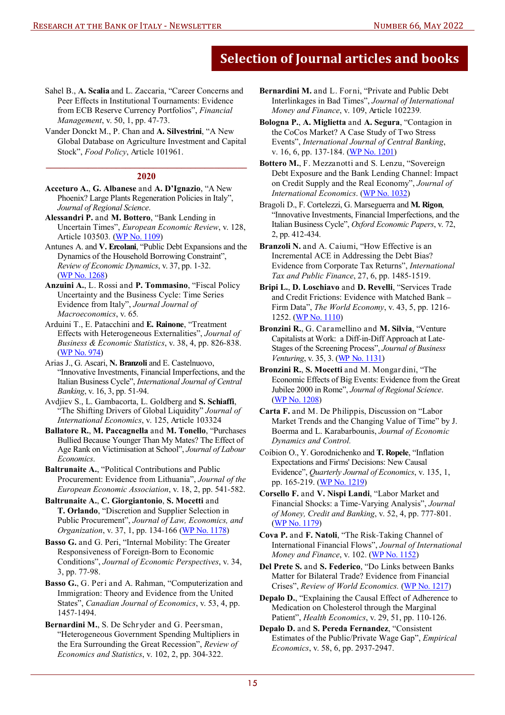- Sahel B., **A. Scalia** and L. Zaccaria, "Career Concerns and Peer Effects in Institutional Tournaments: Evidence from ECB Reserve Currency Portfolios", *Financial Management*, v. 50, 1, pp. 47-73.
- Vander Donckt M., P. Chan and **A. Silvestrini**, "A New Global Database on Agriculture Investment and Capital Stock", *Food Policy*, Article 101961.

#### **\_\_\_\_\_\_\_\_\_\_\_\_\_\_\_\_\_\_\_\_\_\_\_\_\_\_\_\_\_\_\_\_\_\_\_\_\_\_\_\_\_\_\_ 2020**

- **Acceturo A.**, **G. Albanese** and **A. D'Ignazio**, "A New Phoenix? Large Plants Regeneration Policies in Italy", *Journal of Regional Science*.
- **Alessandri P.** and **M. Bottero**, "Bank Lending in Uncertain Times", *European Economic Review*, v. 128, Article 103503*.* [\(WP No. 1109\)](https://www.bancaditalia.it/pubblicazioni/temi-discussione/2017/2017-1109/en_tema_1109.pdf?language_id=1?pk_campaign=Newsletter-66)
- Antunes A. and **V. Ercolani**, "Public Debt Expansions and the Dynamics of the Household Borrowing Constraint", *Review of Economic Dynamics*, v. 37, pp. 1-32. ([WP No. 1268\)](https://www.bancaditalia.it/pubblicazioni/temi-discussione/2020/2020-1268/index.html?com.dotmarketing.htmlpage.language=1?pk_campaign=Newsletter-66)
- **Anzuini A.**, L. Rossi and **P. Tommasino**, "Fiscal Policy Uncertainty and the Business Cycle: Time Series Evidence from Italy", *Journal Journal of Macroeconomics*, v. 65*.*
- Arduini T., E. Patacchini and **E. Rainone**, "Treatment Effects with Heterogeneous Externalities", *Journal of Business & Economic Statistics*, v. 38, 4, pp. 826-838. [\(WP No. 974\)](https://www.bancaditalia.it/pubblicazioni/temi-discussione/2014/2014-0974/en_tema_974.pdf?language_id=1?pk_campaign=Newsletter-66)
- Arias J., G. Ascari, **N. Branzoli** and E. Castelnuovo, "Innovative Investments, Financial Imperfections, and the Italian Business Cycle", *International Journal of Central Banking*, v. 16, 3, pp. 51-94.
- Avdjiev S., L. Gambacorta, L. Goldberg and **S. Schiaffi**, "The Shifting Drivers of Global Liquidity" *Journal of International Economics*, v. 125, Article 103324
- **Ballatore R.**, **M. Paccagnella** and **M. Tonello**, "Purchases Bullied Because Younger Than My Mates? The Effect of Age Rank on Victimisation at School", *Journal of Labour Economics*.
- **Baltrunaite A.**, "Political Contributions and Public Procurement: Evidence from Lithuania", *Journal of the European Economic Association*, v. 18, 2, pp. 541-582.
- **Baltrunaite A.**, **C. Giorgiantonio**, **S. Mocetti** and **T. Orlando**, "Discretion and Supplier Selection in Public Procurement", *Journal of Law, Economics, and Organization*, v. 37, 1, pp. 134-166 [\(WP No. 1178\)](https://www.bancaditalia.it/pubblicazioni/temi-discussione/2018/2018-1178/en_tema_1178.pdf?language_id=1?pk_campaign=Newsletter-66)
- **Basso G.** and G. Peri, "Internal Mobility: The Greater Responsiveness of Foreign-Born to Economic Conditions", *Journal of Economic Perspectives*, v. 34, 3, pp. 77-98.
- **Basso G.**, G. Peri and A. Rahman, "Computerization and Immigration: Theory and Evidence from the United States", *Canadian Journal of Economics*, v. 53, 4, pp. 1457-1494.
- **Bernardini M.**, S. De Schryder and G. Peersman, "Heterogeneous Government Spending Multipliers in the Era Surrounding the Great Recession", *Review of Economics and Statistics*, v. 102, 2, pp. 304-322.

**Bernardini M.** and L. Forni, "Private and Public Debt Interlinkages in Bad Times", *Journal of International Money and Finance*, v. 109, Article 102239*.*

- **Bologna P.**, **A. Miglietta** and **A. Segura**, "Contagion in the CoCos Market? A Case Study of Two Stress Events", *International Journal of Central Banking*, v. 16, 6, pp. 137-184. ([WP No. 1201\)](https://www.bancaditalia.it/pubblicazioni/temi-discussione/2018/2018-1201/en_tema_1201.pdf?language_id=1?pk_campaign=Newsletter-66)
- **Bottero M.**, F. Mezzanotti and S. Lenzu, "Sovereign Debt Exposure and the Bank Lending Channel: Impact on Credit Supply and the Real Economy", *Journal of International Economics*. [\(WP No. 1032\)](https://www.bancaditalia.it/pubblicazioni/temi-discussione/2015/2015-1032/en_tema_1032.pdf?language_id=1?pk_campaign=Newsletter-66)
- Bragoli D., F. Cortelezzi, G. Marseguerra and **M. Rigon**, "Innovative Investments, Financial Imperfections, and the Italian Business Cycle", *Oxford Economic Papers*, v. 72, 2, pp. 412-434.
- **Branzoli N.** and A. Caiumi, "How Effective is an Incremental ACE in Addressing the Debt Bias? Evidence from Corporate Tax Returns", *International Tax and Public Finance*, 27, 6, pp. 1485-1519.
- **Bripi L.**, **D. Loschiavo** and **D. Revelli**, "Services Trade and Credit Frictions: Evidence with Matched Bank – Firm Data", *The World Economy*, v. 43, 5, pp. 1216- 1252. [\(WP No. 1110\)](https://www.bancaditalia.it/pubblicazioni/temi-discussione/2017/2017-1110/en_tema_1110.pdf?language_id=1?pk_campaign=Newsletter-66)
- **Bronzini R.**, G. Caramellino and **M. Silvia**, "Venture Capitalists at Work: a Diff-in-Diff Approach at Late-Stages of the Screening Process", *Journal of Business Venturing*, v. 35, 3. [\(WP No. 1131\)](https://www.bancaditalia.it/pubblicazioni/temi-discussione/2017/2017-1131/en_tema_1131.pdf?language_id=1?pk_campaign=Newsletter-66)
- **Bronzini R.**, **S. Mocetti** and M. Mongardini, "The Economic Effects of Big Events: Evidence from the Great Jubilee 2000 in Rome", *Journal of Regional Science*. ([WP No. 1208\)](https://www.bancaditalia.it/pubblicazioni/temi-discussione/2019/2019-1208/en_tema_1208.pdf?language_id=1?pk_campaign=Newsletter-66)
- **Carta F.** and M. De Philippis, Discussion on "Labor Market Trends and the Changing Value of Time" by J. Boerma and L. Karabarbounis, *Journal of Economic Dynamics and Control.*
- Coibion O., Y. Gorodnichenko and **T. Ropele**, "Inflation Expectations and Firms' Decisions: New Causal Evidence", *Quarterly Journal of Economics*, v. 135, 1, pp. 165-219. [\(WP No. 1219\)](https://www.bancaditalia.it/pubblicazioni/temi-discussione/2019/2019-1219/en_Tema_1219.pdf?language_id=1?pk_campaign=Newsletter-66)
- **Corsello F.** and **V. Nispi Landi**, "Labor Market and Financial Shocks: a Time-Varying Analysis", *Journal of Money, Credit and Banking*, v. 52, 4, pp. 777-801. [\(WP No. 1179\)](http://www.bancaditalia.it/pubblicazioni/temi-discussione/2018/2018-1179/en_tema_1179.pdf?language_id=1?pk_campaign=Newsletter-66)
- **Cova P.** and **F. Natoli**, "The Risk-Taking Channel of International Financial Flows", *Journal of International Money and Finance*, v. 102. [\(WP No. 1152\)](https://www.bancaditalia.it/pubblicazioni/temi-discussione/2017/2017-1152/en_tema_1152.pdf?language_id=1?pk_campaign=Newsletter-66)
- **Del Prete S.** and **S. Federico**, "Do Links between Banks Matter for Bilateral Trade? Evidence from Financial Crises", *Review of World Economics.* [\(WP No. 1217\)](https://www.bancaditalia.it/pubblicazioni/temi-discussione/2019/2019-1217/en_Tema_1217.pdf?language_id=1?pk_campaign=Newsletter-66)
- **Depalo D.**, "Explaining the Causal Effect of Adherence to Medication on Cholesterol through the Marginal Patient", *Health Economics*, v. 29, 51, pp. 110-126.
- **Depalo D.** and **S. Pereda Fernandez**, "Consistent Estimates of the Public/Private Wage Gap", *Empirical Economics*, v. 58, 6, pp. 2937-2947.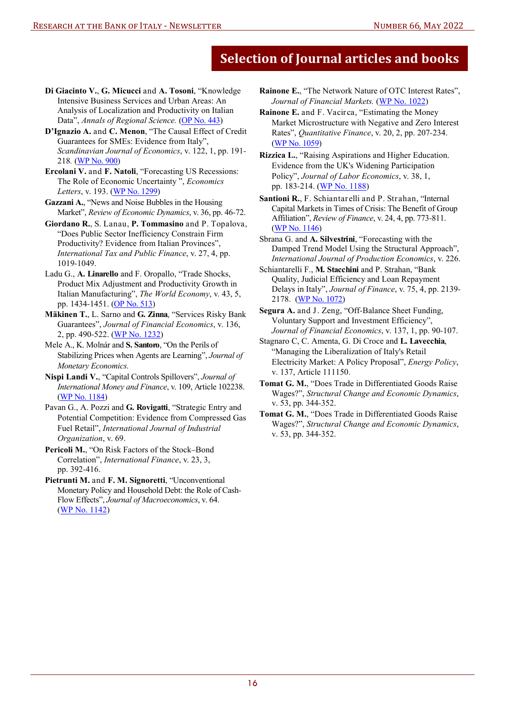- **Di Giacinto V.**, **G. Micucci** and **A. Tosoni**, "Knowledge Intensive Business Services and Urban Areas: An Analysis of Localization and Productivity on Italian Data", Annals of Regional Science. [\(OP No. 443\)](https://www.bancaditalia.it/pubblicazioni/qef/2018-0443/QEF_443_18.pdf?language_id=1?pk_campaign=Newsletter-66)
- **D'Ignazio A.** and **C. Menon**, "The Causal Effect of Credit Guarantees for SMEs: Evidence from Italy", *Scandinavian Journal of Economics*, v. 122, 1, pp. 191- 218*.* [\(WP No. 900\)](http://www.bancaditalia.it/pubblicazioni/temi-discussione/2013/2013-0900/en_tema_900.pdf?language_id=1?pk_campaign=Newsletter-66)
- **Ercolani V.** and **F. Natoli**, "Forecasting US Recessions: The Role of Economic Uncertainty ", *Economics Letters*, v. 193. [\(WP No. 1299\)](https://www.bancaditalia.it/pubblicazioni/temi-discussione/2020/2020-1299/index.html?com.dotmarketing.htmlpage.language=1?pk_campaign=Newsletter-66)
- **Gazzani A.**, "News and Noise Bubbles in the Housing Market", *Review of Economic Dynamics*, v. 36, pp. 46-72.
- **Giordano R.**, S. Lanau, **P. Tommasino** and P. Topalova, "Does Public Sector Inefficiency Constrain Firm Productivity? Evidence from Italian Provinces", *International Tax and Public Finance*, v. 27, 4, pp. 1019-1049.
- Ladu G., **A. Linarello** and F. Oropallo, "Trade Shocks, Product Mix Adjustment and Productivity Growth in Italian Manufacturing", *The World Economy*, v. 43, 5, pp. 1434-1451. [\(OP No. 513\)](https://www.bancaditalia.it/pubblicazioni/qef/2019-0513/QEF_513_19.pdf?language_id=1?pk_campaign=Newsletter-66)
- **Mäkinen T.**, L. Sarno and **G. Zinna**, "Services Risky Bank Guarantees", *Journal of Financial Economics*, v. 136, 2, pp. 490-522. [\(WP No. 1232](https://www.bancaditalia.it/pubblicazioni/temi-discussione/2019/2019-1232/en_Tema_1232.pdf?language_id=1?pk_campaign=Newsletter-66))
- Mele A., K. Molnár and **S. Santoro**, "On the Perils of Stabilizing Prices when Agents are Learning", *Journal of Monetary Economics*.
- **Nispi Landi V.**, "Capital Controls Spillovers", *Journal of International Money and Finance*, v. 109, Article 102238. [\(WP No. 1184\)](https://www.bancaditalia.it/pubblicazioni/temi-discussione/2018/2018-1184/en_tema_1184.pdf?language_id=1?pk_campaign=Newsletter-66)
- Pavan G., A. Pozzi and **G. Rovigatti**, "Strategic Entry and Potential Competition: Evidence from Compressed Gas Fuel Retail", *International Journal of Industrial Organization*, v. 69.
- **Pericoli M.**, "On Risk Factors of the Stock–Bond Correlation", *International Finance*, v. 23, 3, pp. 392-416.
- **Pietrunti M.** and **F. M. Signoretti**, "Unconventional Monetary Policy and Household Debt: the Role of Cash-Flow Effects", *Journal of Macroeconomics*, v. 64. [\(WP No. 1142\)](https://www.bancaditalia.it/pubblicazioni/temi-discussione/2017/2017-1142/en_tema_1142.pdf?language_id=1?pk_campaign=Newsletter-66)
- **Rainone E.**, "The Network Nature of OTC Interest Rates", *Journal of Financial Markets.* [\(WP No. 1022\)](https://www.bancaditalia.it/pubblicazioni/temi-discussione/2015/2015-1022/en_tema_1022.pdf?language_id=1?pk_campaign=Newsletter-66)
- **Rainone E.** and F. Vacirca, "Estimating the Money Market Microstructure with Negative and Zero Interest Rates", *Quantitative Finance*, v. 20, 2, pp. 207-234. [\(WP No. 1059\)](https://www.bancaditalia.it/pubblicazioni/temi-discussione/2016/2016-1059/en_tema_1059.pdf?language_id=1?pk_campaign=Newsletter-66)
- **Rizzica L.**, "Raising Aspirations and Higher Education. Evidence from the UK's Widening Participation Policy", *Journal of Labor Economics*, v. 38, 1, pp. 183-214. [\(WP No. 1188\)](https://www.bancaditalia.it/pubblicazioni/temi-discussione/2018/2018-1188/en_tema_1188.pdf?language_id=1?pk_campaign=Newsletter-66)
- **Santioni R.**, F. Schiantarelli and P. Strahan, "Internal Capital Markets in Times of Crisis: The Benefit of Group Affiliation", *Review of Finance*, v. 24, 4, pp. 773-811. [\(WP No. 1146\)](https://www.bancaditalia.it/pubblicazioni/temi-discussione/2017/2017-1146/en_tema_1146.pdf?language_id=1?pk_campaign=Newsletter-66)
- Sbrana G. and **A. Silvestrini**, "Forecasting with the Damped Trend Model Using the Structural Approach", *International Journal of Production Economics*, v. 226.
- Schiantarelli F., **M. Stacchini** and P. Strahan, "Bank Quality, Judicial Efficiency and Loan Repayment Delays in Italy", *Journal of Finance*, v. 75, 4, pp. 2139- 2178. [\(WP No. 1072\)](https://www.bancaditalia.it/pubblicazioni/temi-discussione/2016/2016-1072/en_tema_1072.pdf?language_id=1?pk_campaign=Newsletter-66)
- **Segura A.** and J. Zeng, "Off-Balance Sheet Funding, Voluntary Support and Investment Efficiency", *Journal of Financial Economics*, v. 137, 1, pp. 90-107.
- Stagnaro C, C. Amenta, G. Di Croce and **L. Lavecchia**, "Managing the Liberalization of Italy's Retail Electricity Market: A Policy Proposal", *Energy Policy*, v. 137, Article 111150.
- **Tomat G. M.**, "Does Trade in Differentiated Goods Raise Wages?", *Structural Change and Economic Dynamics*, v. 53, pp. 344-352.
- **Tomat G. M.**, "Does Trade in Differentiated Goods Raise Wages?", *Structural Change and Economic Dynamics*, v. 53, pp. 344-352.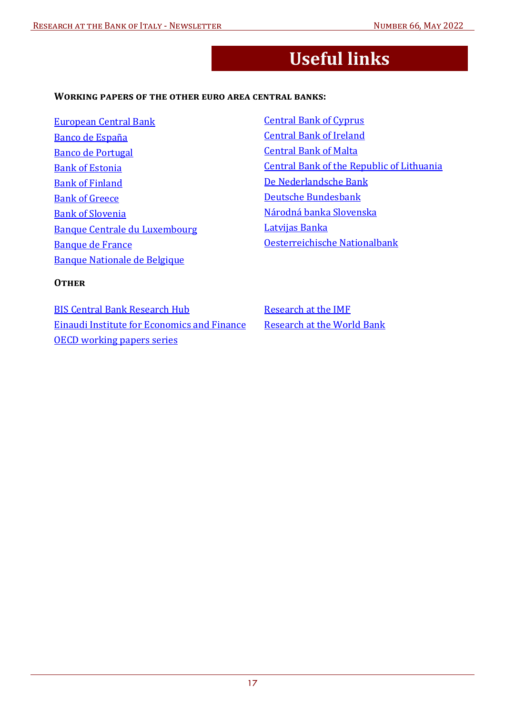## **Useful links**

#### <span id="page-16-0"></span>**WORKING PAPERS OF THE OTHER EURO AREA CENTRAL BANKS:**

[European Central Bank](http://www.ecb.europa.eu/pub/research/working-papers/html/index.en.html) Banco de España [Banco de Portugal](https://www.bportugal.pt/en/papers) [Bank of Estonia](http://www.eestipank.ee/en/economic-research-eesti-pank)  [Bank of Finland](https://www.suomenpankki.fi/en/research/research-publications/) [Bank of Greece](http://www.bankofgreece.gr/Pages/en/Publications/Papers.aspx?Filter_By=13) [Bank of Slovenia](https://www.bsi.si/en/publications/research) [Banque Centrale du Luxembourg](http://www.bcl.lu/en/Research/publications/index.html) [Banque de France](https://publications.banque-france.fr/en/liste-chronologique/working-papers) [Banque Nationale de Belgique](https://www.nbb.be/en/publications-and-research/economic-and-financial-publications)

[Central Bank of Cyprus](https://www.centralbank.cy/en/publications/working-papers)  [Central Bank of Ireland](https://www.centralbank.ie/publication/research-technical-papers) [Central Bank of Malta](https://www.centralbankmalta.org/en/economic-research)  [Central Bank of the Republic of Lithuania](https://www.lb.lt/economic_research)  [De Nederlandsche Bank](https://www.dnb.nl/en/publications/research-publications/) [Deutsche Bundesbank](https://www.bundesbank.de/en/publications/research) Národná banka Slovenska [Latvijas Banka](https://www.bank.lv/en/publications-r/working-papers/2016-eng)  [Oesterreichische Nationalbank](http://www.oenb.at/en/Publications/Economics/Working-Papers.html)

#### **OTHER**

[BIS Central Bank Research Hub](http://www.bis.org/cbhub/index.htm) [Einaudi Institute for Economics and Finance](http://www.eief.it/working-papers/) [OECD working papers series](http://www.oecd.org/about/publishing/oecd-working-papers-series.htm)

[Research at the IMF](https://www.imf.org/en/Research) [Research at the World Bank](http://www.worldbank.org/en/research)